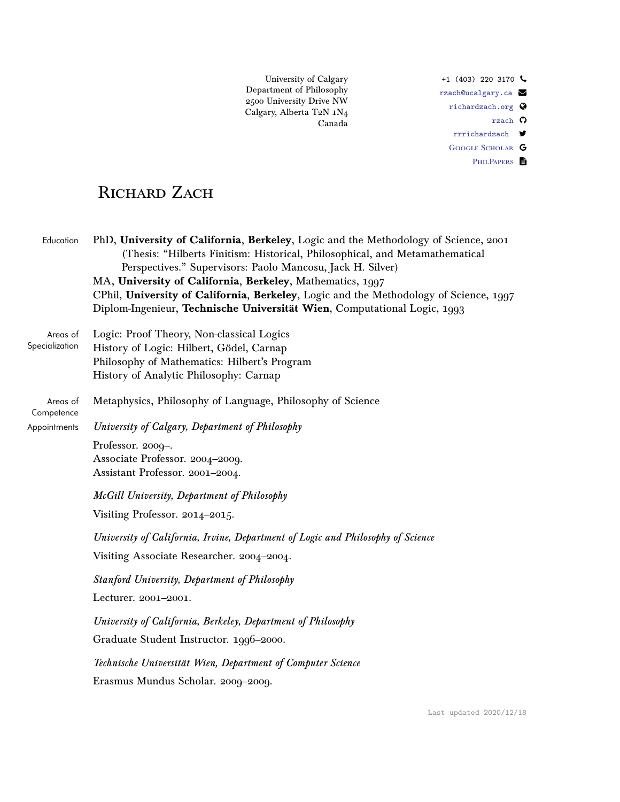University of Calgary Department of Philosophy 2500 University Drive NW Calgary, Alberta T2N $\rm 1N_4$ Canada

+1 (403) 220 3170  $\sim$ [rzach@ucalgary.ca](mailto:rzach@ucalgary.ca) [richardzach.org](http://richardzach.org) [rzach](https://github.com/rzach) O [rrrichardzach](https://twitter.com/rrrichardzach)  $\blacktriangleright$ GOOGLE SCHOLAR G PHILPAPERS **P** 

# RICHARD ZACH

| Education                  | PhD, University of California, Berkeley, Logic and the Methodology of Science, 2001<br>(Thesis: "Hilberts Finitism: Historical, Philosophical, and Metamathematical<br>Perspectives." Supervisors: Paolo Mancosu, Jack H. Silver)<br>MA, University of California, Berkeley, Mathematics, 1997<br>CPhil, University of California, Berkeley, Logic and the Methodology of Science, 1997<br>Diplom-Ingenieur, Technische Universität Wien, Computational Logic, 1993 |
|----------------------------|---------------------------------------------------------------------------------------------------------------------------------------------------------------------------------------------------------------------------------------------------------------------------------------------------------------------------------------------------------------------------------------------------------------------------------------------------------------------|
| Areas of<br>Specialization | Logic: Proof Theory, Non-classical Logics<br>History of Logic: Hilbert, Gödel, Carnap<br>Philosophy of Mathematics: Hilbert's Program<br>History of Analytic Philosophy: Carnap                                                                                                                                                                                                                                                                                     |
| Areas of<br>Competence     | Metaphysics, Philosophy of Language, Philosophy of Science                                                                                                                                                                                                                                                                                                                                                                                                          |
| Appointments               | University of Calgary, Department of Philosophy                                                                                                                                                                                                                                                                                                                                                                                                                     |
|                            | Professor. 2009-.<br>Associate Professor. 2004-2009.<br>Assistant Professor. 2001-2004.                                                                                                                                                                                                                                                                                                                                                                             |
|                            | McGill University, Department of Philosophy                                                                                                                                                                                                                                                                                                                                                                                                                         |
|                            | Visiting Professor. 2014-2015.                                                                                                                                                                                                                                                                                                                                                                                                                                      |
|                            | University of California, Irvine, Department of Logic and Philosophy of Science                                                                                                                                                                                                                                                                                                                                                                                     |
|                            | Visiting Associate Researcher. 2004-2004.                                                                                                                                                                                                                                                                                                                                                                                                                           |
|                            | <b>Stanford University, Department of Philosophy</b>                                                                                                                                                                                                                                                                                                                                                                                                                |
|                            | Lecturer. 2001-2001.                                                                                                                                                                                                                                                                                                                                                                                                                                                |
|                            | University of California, Berkeley, Department of Philosophy                                                                                                                                                                                                                                                                                                                                                                                                        |
|                            | Graduate Student Instructor. 1996-2000.                                                                                                                                                                                                                                                                                                                                                                                                                             |
|                            | Technische Universität Wien, Department of Computer Science                                                                                                                                                                                                                                                                                                                                                                                                         |
|                            | Erasmus Mundus Scholar. 2009-2009.                                                                                                                                                                                                                                                                                                                                                                                                                                  |

Last updated 2020/12/18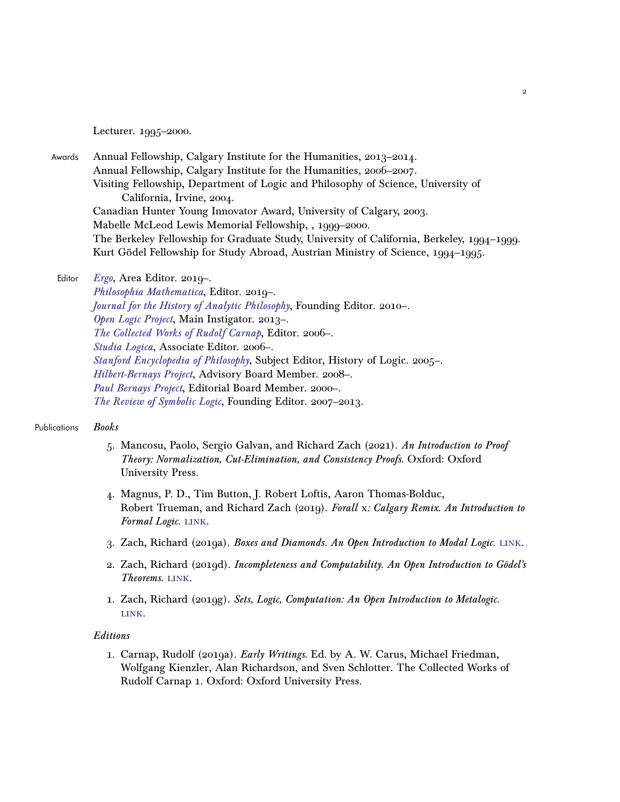Lecturer. 1995–2000.

Awards Annual Fellowship, Calgary Institute for the Humanities, 2013–2014. Annual Fellowship, Calgary Institute for the Humanities, 2006–2007. Visiting Fellowship, Department of Logic and Philosophy of Science, University of California, Irvine, 2004. Canadian Hunter Young Innovator Award, University of Calgary, 2003. Mabelle McLeod Lewis Memorial Fellowship, , 1999–2000. The Berkeley Fellowship for Graduate Study, University of California, Berkeley, 1994–1999. Kurt Gödel Fellowship for Study Abroad, Austrian Ministry of Science, 1994–1995.

# Editor [Ergo](https://www.ergophiljournal.org/), Area Editor. 2019-.

[Philosophia Mathematica](https://academic.oup.com/philmat), Editor. 2019–. [Journal for the History of Analytic Philosophy](https://jhaponline.org/), Founding Editor. 2010–. [Open Logic Project](http://openlogicproject.org/), Main Instigator. 2013–. [The Collected Works of Rudolf Carnap](http://rudolfcarnap.org/), Editor. 2006–. [Studia Logica](http://www.studialogica.org/), Associate Editor. 2006–. [Stanford Encyclopedia of Philosophy](https://plato.stanford.edu/), Subject Editor, History of Logic. 2005–. [Hilbert-Bernays Project](http://wirth.bplaced.net/p/hilbertbernays/), Advisory Board Member. 2008–. [Paul Bernays Project](http://www.phil.cmu.edu/projects/bernays/), Editorial Board Member. 2000–. [The Review of Symbolic Logic](https://www.cambridge.org/core/journals/review-of-symbolic-logic), Founding Editor. 2007–2013.

#### Publications Books

- 5. Mancosu, Paolo, Sergio Galvan, and Richard Zach (2021). An Introduction to Proof Theory: Normalization, Cut-Elimination, and Consistency Proofs. Oxford: Oxford University Press.
- 4. Magnus, P. D., Tim Button, J. Robert Loftis, Aaron Thomas-Bolduc, Robert Trueman, and Richard Zach (2019). Forall x: Calgary Remix. An Introduction to Formal Logic. LINK.
- 3. Zach, Richard (2019a). Boxes and Diamonds. An Open Introduction to Modal Logic. [link.](https://bd.openlogicproject.org/)
- 2. Zach, Richard (2019d). Incompleteness and Computability. An Open Introduction to Gödel's Theorems. LINK.
- 1. Zach, Richard (2019g). Sets, Logic, Computation: An Open Introduction to Metalogic. [link.](https://slc.openlogicproject.org/)

#### Editions

1. Carnap, Rudolf (2019a). *Early Writings*. Ed. by A. W. Carus, Michael Friedman, Wolfgang Kienzler, Alan Richardson, and Sven Schlotter. The Collected Works of Rudolf Carnap 1. Oxford: Oxford University Press.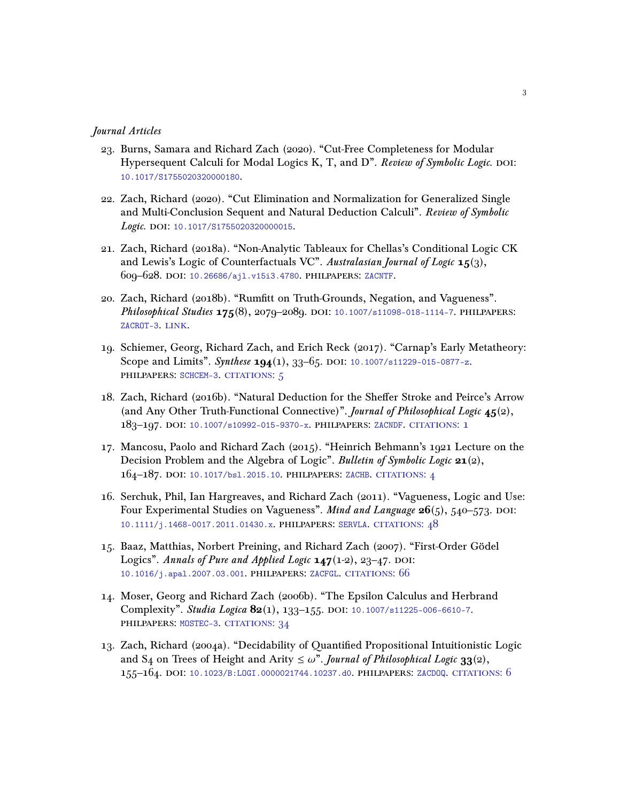#### Journal Articles

- 23. Burns, Samara and Richard Zach (2020). "Cut-Free Completeness for Modular Hypersequent Calculi for Modal Logics K, T, and  $D^{\prime\prime}$ . Review of Symbolic Logic. poi: [10.1017/S1755020320000180](https://doi.org/10.1017/S1755020320000180).
- 22. Zach, Richard (2020). "Cut Elimination and Normalization for Generalized Single and Multi-Conclusion Sequent and Natural Deduction Calculi". Review of Symbolic Logic. DOI: [10.1017/S1755020320000015](https://doi.org/10.1017/S1755020320000015).
- 21. Zach, Richard (2018a). "Non-Analytic Tableaux for Chellas's Conditional Logic CK and Lewis's Logic of Counterfactuals VC". Australasian Journal of Logic  $15(3)$ , 609–628. doi: [10.26686/ajl.v15i3.4780](https://doi.org/10.26686/ajl.v15i3.4780). philpapers: [ZACNTF](https://philpapers.org/rec/ZACNTF).
- 20. Zach, Richard (2018b). "Rumfitt on Truth-Grounds, Negation, and Vagueness". Philosophical Studies 175(8), 2079-2089. DOI: [10.1007/s11098-018-1114-7](https://doi.org/10.1007/s11098-018-1114-7). PHILPAPERS: [ZACROT-3](https://philpapers.org/rec/ZACROT-3). LINK.
- 19. Schiemer, Georg, Richard Zach, and Erich Reck (2017). "Carnap's Early Metatheory: Scope and Limits". Synthese  $194(1)$ , 33-65. DOI: [10.1007/s11229-015-0877-z](https://doi.org/10.1007/s11229-015-0877-z). philpapers: [SCHCEM-3](https://philpapers.org/rec/SCHCEM-3). [citations: 5](https://scholar.google.com/scholar?cites=11895416465215659052)
- 18. Zach, Richard (2016b). "Natural Deduction for the Sheffer Stroke and Peirce's Arrow (and Any Other Truth-Functional Connective)". Journal of Philosophical Logic 45(2), 183–197. doi: [10.1007/s10992-015-9370-x](https://doi.org/10.1007/s10992-015-9370-x). philpapers: [ZACNDF](https://philpapers.org/rec/ZACNDF). [citations: 1](https://scholar.google.com/scholar?cites=7700562534442313606)
- 17. Mancosu, Paolo and Richard Zach (2015). "Heinrich Behmann's 1921 Lecture on the Decision Problem and the Algebra of Logic". Bulletin of Symbolic Logic 21(2), 164–187. doi: [10.1017/bsl.2015.10](https://doi.org/10.1017/bsl.2015.10). philpapers: [ZACHB](https://philpapers.org/rec/ZACHB). [citations: 4](https://scholar.google.com/scholar?cites=2784135096858806847,14902288454561720452)
- 16. Serchuk, Phil, Ian Hargreaves, and Richard Zach (2011). "Vagueness, Logic and Use: Four Experimental Studies on Vagueness". *Mind and Language*  $26(5)$ , 540–573. DOI: [10.1111/j.1468-0017.2011.01430.x](https://doi.org/10.1111/j.1468-0017.2011.01430.x). philpapers: [SERVLA](https://philpapers.org/rec/SERVLA). [citations: 48](https://scholar.google.com/scholar?cites=5140734606960703022)
- 15. Baaz, Matthias, Norbert Preining, and Richard Zach (2007). "First-Order Gödel Logics". Annals of Pure and Applied Logic  $147(1-2)$ , 23-47. DOI: [10.1016/j.apal.2007.03.001](https://doi.org/10.1016/j.apal.2007.03.001). philpapers: [ZACFGL](https://philpapers.org/rec/ZACFGL). [citations: 66](https://scholar.google.com/scholar?cites=2488652346389662158,16722118232164098457)
- 14. Moser, Georg and Richard Zach (2006b). "The Epsilon Calculus and Herbrand Complexity". Studia Logica 82(1), 133-155. DOI: [10.1007/s11225-006-6610-7](https://doi.org/10.1007/s11225-006-6610-7). philpapers: [MOSTEC-3](https://philpapers.org/rec/MOSTEC-3). [citations: 34](https://scholar.google.com/scholar?cites=11126437231550653564,15519479678456966453)
- 13. Zach, Richard (2004a). "Decidability of Quantified Propositional Intuitionistic Logic and S<sub>4</sub> on Trees of Height and Arity  $\leq \omega$ ". *Journal of Philosophical Logic* 33(2), 155–164. doi: [10.1023/B:LOGI.0000021744.10237.d0](https://doi.org/10.1023/B:LOGI.0000021744.10237.d0). philpapers: [ZACDOQ](https://philpapers.org/rec/ZACDOQ). [citations: 6](https://scholar.google.com/scholar?cites=15184825758825835157,15198214561219081821)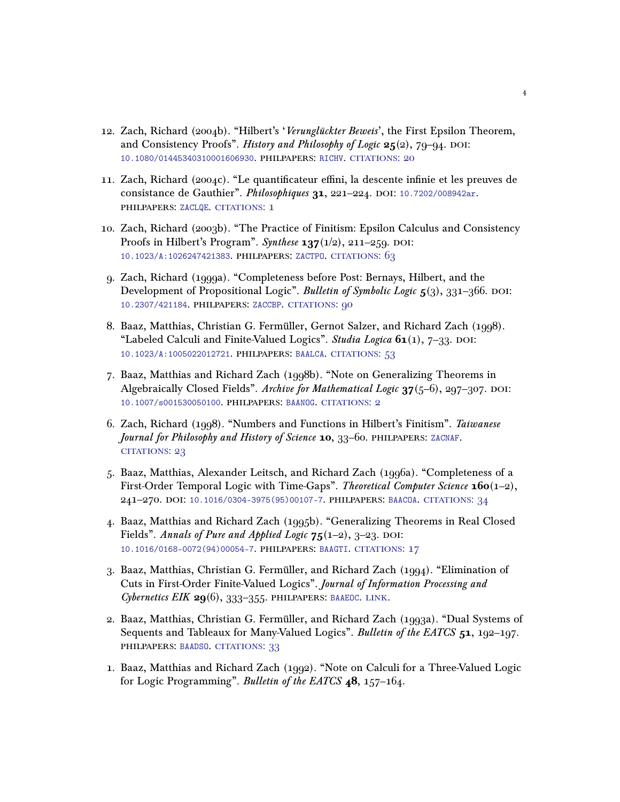- 12. Zach, Richard (2004b). "Hilbert's 'Verunglückter Beweis', the First Epsilon Theorem, and Consistency Proofs". History and Philosophy of Logic  $25(2)$ , 79-94. DOI: [10.1080/01445340310001606930](https://doi.org/10.1080/01445340310001606930). philpapers: [RICHV](https://philpapers.org/rec/RICHV). [citations: 20](https://scholar.google.com/scholar?cites=7640018938190008334,12528057930483119998)
- 11. Zach, Richard (2004c). "Le quantificateur effini, la descente infinie et les preuves de consistance de Gauthier". Philosophiques 31, 221-224. DOI: [10.7202/008942ar](https://doi.org/10.7202/008942ar). philpapers: [ZACLQE](https://philpapers.org/rec/ZACLQE). [citations: 1](https://scholar.google.com/scholar?cites=8963922692048098406)
- 10. Zach, Richard (2003b). "The Practice of Finitism: Epsilon Calculus and Consistency Proofs in Hilbert's Program". Synthese  $137(1/2)$ , 211–259. DOI: [10.1023/A:1026247421383](https://doi.org/10.1023/A:1026247421383). philpapers: [ZACTPO](https://philpapers.org/rec/ZACTPO). [citations: 63](https://scholar.google.com/scholar?cites=16594370022665861838)
- 9. Zach, Richard (1999a). "Completeness before Post: Bernays, Hilbert, and the Development of Propositional Logic". Bulletin of Symbolic Logic  $5(3)$ , 331–366. DOI: [10.2307/421184](https://doi.org/10.2307/421184). philpapers: [ZACCBP](https://philpapers.org/rec/ZACCBP). [citations: 90](https://scholar.google.com/scholar?cites=5523213711320200321,17408915852199611598)
- 8. Baaz, Matthias, Christian G. Fermüller, Gernot Salzer, and Richard Zach (1998). "Labeled Calculi and Finite-Valued Logics". Studia Logica  $61(1)$ , 7–33. DOI: [10.1023/A:1005022012721](https://doi.org/10.1023/A:1005022012721). philpapers: [BAALCA](https://philpapers.org/rec/BAALCA). [citations: 53](https://scholar.google.com/scholar?cites=515623037569117347,6617951524360595549)
- 7. Baaz, Matthias and Richard Zach (1998b). "Note on Generalizing Theorems in Algebraically Closed Fields". Archive for Mathematical Logic  $37(5-6)$ , 297-307. DOI: [10.1007/s001530050100](https://doi.org/10.1007/s001530050100). philpapers: [BAANOG](https://philpapers.org/rec/BAANOG). [citations: 2](https://scholar.google.com/scholar?cites=11978194833734495932)
- 6. Zach, Richard (1998). "Numbers and Functions in Hilbert's Finitism". Taiwanese Journal for Philosophy and History of Science 10, 33–60. PHILPAPERS: [ZACNAF](https://philpapers.org/rec/ZACNAF). [citations: 23](https://scholar.google.com/scholar?cites=2921933553010301318)
- 5. Baaz, Matthias, Alexander Leitsch, and Richard Zach (1996a). "Completeness of a First-Order Temporal Logic with Time-Gaps". Theoretical Computer Science 160(1-2), 241–270. doi: [10.1016/0304-3975\(95\)00107-7](https://doi.org/10.1016/0304-3975(95)00107-7). philpapers: [BAACOA](https://philpapers.org/rec/BAACOA). [citations: 34](https://scholar.google.com/scholar?cites=11003778821934401917)
- 4. Baaz, Matthias and Richard Zach (1995b). "Generalizing Theorems in Real Closed Fields". Annals of Pure and Applied Logic  $75(1-2)$ ,  $3-23$ . DOI: [10.1016/0168-0072\(94\)00054-7](https://doi.org/10.1016/0168-0072(94)00054-7). philpapers: [BAAGTI](https://philpapers.org/rec/BAAGTI). [citations: 17](https://scholar.google.com/scholar?cites=17723187883943432684)
- 3. Baaz, Matthias, Christian G. Fermüller, and Richard Zach (1994). "Elimination of Cuts in First-Order Finite-Valued Logics". Journal of Information Processing and Cybernetics EIK  $29(6)$ , 333-355. PHILPAPERS: [BAAEOC](https://philpapers.org/rec/BAAEOC). LINK.
- 2. Baaz, Matthias, Christian G. Fermüller, and Richard Zach (1993a). "Dual Systems of Sequents and Tableaux for Many-Valued Logics". Bulletin of the EATCS 51, 192-197. philpapers: [BAADSO](https://philpapers.org/rec/BAADSO). [citations: 33](https://scholar.google.com/scholar?cites=6791592744025234472,3229918405423554796)
- 1. Baaz, Matthias and Richard Zach (1992). "Note on Calculi for a Three-Valued Logic for Logic Programming". Bulletin of the EATCS 48, 157–164.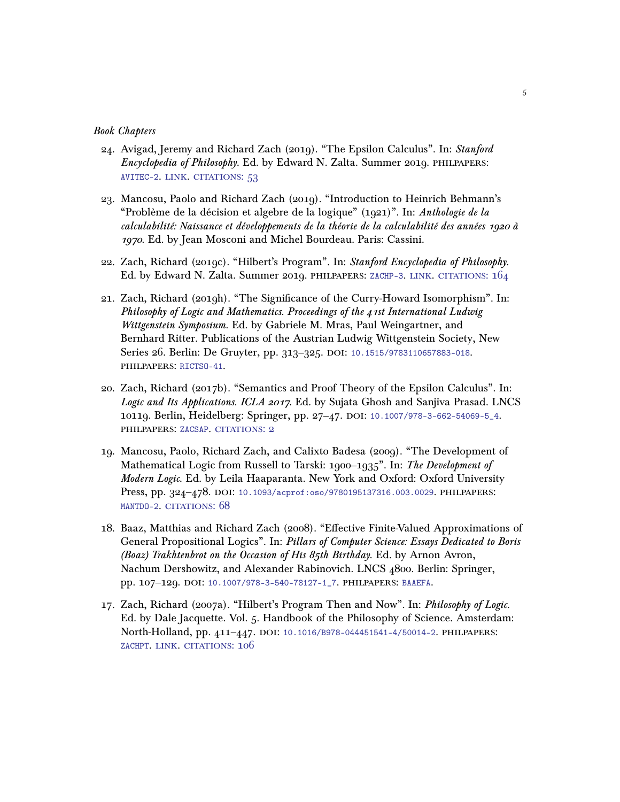#### Book Chapters

- 24. Avigad, Jeremy and Richard Zach (2019). "The Epsilon Calculus". In: Stanford Encyclopedia of Philosophy. Ed. by Edward N. Zalta. Summer 2019. philpapers: [AVITEC-2](https://philpapers.org/rec/AVITEC-2). [link.](https://plato.stanford.edu/entries/epsilon-calculus/) [citations: 53](https://scholar.google.com/scholar?cites=1276439175304434383)
- 23. Mancosu, Paolo and Richard Zach (2019). "Introduction to Heinrich Behmann's "Problème de la décision et algebre de la logique" (1921)". In: Anthologie de la calculabilité: Naissance et développements de la théorie de la calculabilité des années 1920 à 1970. Ed. by Jean Mosconi and Michel Bourdeau. Paris: Cassini.
- 22. Zach, Richard (2019c). "Hilbert's Program". In: Stanford Encyclopedia of Philosophy. Ed. by Edward N. Zalta. Summer 2019. philpapers: [ZACHP-3](https://philpapers.org/rec/ZACHP-3). [link.](https://plato.stanford.edu/entries/hilbert-program/) [citations: 164](https://scholar.google.com/scholar?cites=16223060822071475036,17086294001004940509,12636435699377344782)
- 21. Zach, Richard (2019h). "The Significance of the Curry-Howard Isomorphism". In: Philosophy of Logic and Mathematics. Proceedings of the 41st International Ludwig Wittgenstein Symposium. Ed. by Gabriele M. Mras, Paul Weingartner, and Bernhard Ritter. Publications of the Austrian Ludwig Wittgenstein Society, New Series 26. Berlin: De Gruyter, pp. 313-325. DOI: [10.1515/9783110657883-018](https://doi.org/10.1515/9783110657883-018). philpapers: [RICTSO-41](https://philpapers.org/rec/RICTSO-41).
- 20. Zach, Richard (2017b). "Semantics and Proof Theory of the Epsilon Calculus". In: Logic and Its Applications. ICLA 2017. Ed. by Sujata Ghosh and Sanjiva Prasad. LNCS 10119. Berlin, Heidelberg: Springer, pp. 27-47. DOI: 10.1007/978-3-662-54069-5<sub>-4</sub>. philpapers: [ZACSAP](https://philpapers.org/rec/ZACSAP). [citations: 2](https://scholar.google.com/scholar?cites=9711110530396170043)
- 19. Mancosu, Paolo, Richard Zach, and Calixto Badesa (2009). "The Development of Mathematical Logic from Russell to Tarski: 1900–1935". In: The Development of Modern Logic. Ed. by Leila Haaparanta. New York and Oxford: Oxford University Press, pp. 324-478. DOI: [10.1093/acprof:oso/9780195137316.003.0029](https://doi.org/10.1093/acprof:oso/9780195137316.003.0029). PHILPAPERS: [MANTDO-2](https://philpapers.org/rec/MANTDO-2). CITATIONS: 68
- 18. Baaz, Matthias and Richard Zach (2008). "Effective Finite-Valued Approximations of General Propositional Logics". In: Pillars of Computer Science: Essays Dedicated to Boris (Boaz) Trakhtenbrot on the Occasion of His 85th Birthday. Ed. by Arnon Avron, Nachum Dershowitz, and Alexander Rabinovich. LNCS 4800. Berlin: Springer, pp. 107-129. DOI: [10.1007/978-3-540-78127-1\\_7](https://doi.org/10.1007/978-3-540-78127-1_7). PHILPAPERS: [BAAEFA](https://philpapers.org/rec/BAAEFA).
- 17. Zach, Richard (2007a). "Hilbert's Program Then and Now". In: Philosophy of Logic. Ed. by Dale Jacquette. Vol. 5. Handbook of the Philosophy of Science. Amsterdam: North-Holland, pp. 411-447. DOI: [10.1016/B978-044451541-4/50014-2](https://doi.org/10.1016/B978-044451541-4/50014-2). PHILPAPERS: [ZACHPT](https://philpapers.org/rec/ZACHPT). [link.](http://linkinghub.elsevier.com/retrieve/pii/B9780444515414500142) [citations: 106](https://scholar.google.com/scholar?cites=5681241216356383700,5258703673710316804)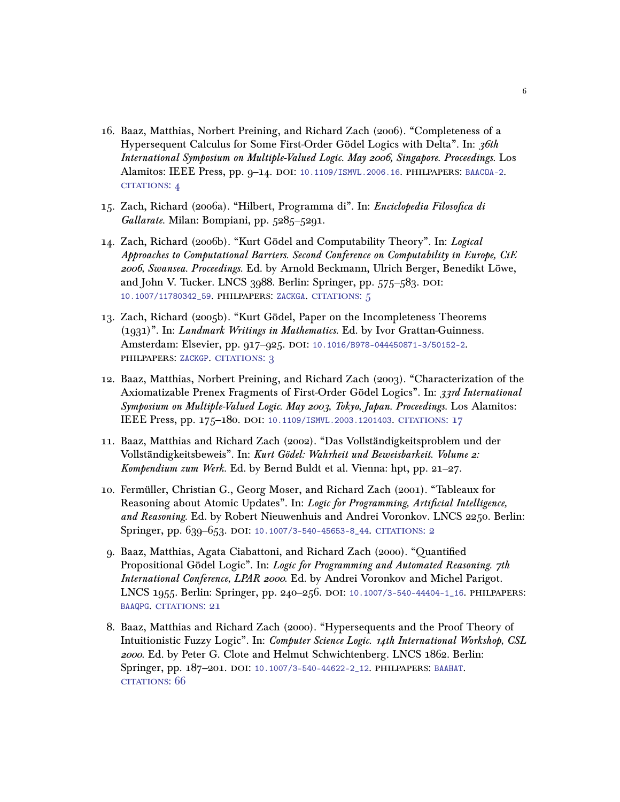- 16. Baaz, Matthias, Norbert Preining, and Richard Zach (2006). "Completeness of a Hypersequent Calculus for Some First-Order Gödel Logics with Delta". In: 36th International Symposium on Multiple-Valued Logic. May 2006, Singapore. Proceedings. Los Alamitos: IEEE Press, pp. 9–14. doi: [10.1109/ISMVL.2006.16](https://doi.org/10.1109/ISMVL.2006.16). philpapers: [BAACOA-2](https://philpapers.org/rec/BAACOA-2). CITATIONS: 4
- 15. Zach, Richard (2006a). "Hilbert, Programma di". In: Enciclopedia Filosofica di Gallarate. Milan: Bompiani, pp. 5285-5291.
- 14. Zach, Richard (2006b). "Kurt Gödel and Computability Theory". In: Logical Approaches to Computational Barriers. Second Conference on Computability in Europe, CiE 2006, Swansea. Proceedings. Ed. by Arnold Beckmann, Ulrich Berger, Benedikt Löwe, and John V. Tucker. LNCS 3988. Berlin: Springer, pp. 575–583. DOI: [10.1007/11780342\\_59](https://doi.org/10.1007/11780342_59). philpapers: [ZACKGA](https://philpapers.org/rec/ZACKGA). [citations: 5](https://scholar.google.com/scholar?cites=7568025523246776239)
- 13. Zach, Richard (2005b). "Kurt Gödel, Paper on the Incompleteness Theorems (1931)". In: Landmark Writings in Mathematics. Ed. by Ivor Grattan-Guinness. Amsterdam: Elsevier, pp. 917-925. DOI: [10.1016/B978-044450871-3/50152-2](https://doi.org/10.1016/B978-044450871-3/50152-2). philpapers: [ZACKGP](https://philpapers.org/rec/ZACKGP). [citations: 3](https://scholar.google.com/scholar?cites=6952797317484429887,13406715195474698121)
- 12. Baaz, Matthias, Norbert Preining, and Richard Zach (2003). "Characterization of the Axiomatizable Prenex Fragments of First-Order Gödel Logics". In: 33rd International Symposium on Multiple-Valued Logic. May 2003, Tokyo, Japan. Proceedings. Los Alamitos: IEEE Press, pp. 175-180. DOI: [10.1109/ISMVL.2003.1201403](https://doi.org/10.1109/ISMVL.2003.1201403). CITATIONS: 17
- 11. Baaz, Matthias and Richard Zach (2002). "Das Vollständigkeitsproblem und der Vollständigkeitsbeweis". In: Kurt Gödel: Wahrheit und Beweisbarkeit. Volume 2: Kompendium zum Werk. Ed. by Bernd Buldt et al. Vienna: hpt, pp. 21–27.
- 10. Fermüller, Christian G., Georg Moser, and Richard Zach (2001). "Tableaux for Reasoning about Atomic Updates". In: Logic for Programming, Artificial Intelligence, and Reasoning. Ed. by Robert Nieuwenhuis and Andrei Voronkov. LNCS 2250. Berlin: Springer, pp. 639-653. DOI: 10.1007/3-540-45653-8<sub>-</sub>44. CITATIONS: 2
- 9. Baaz, Matthias, Agata Ciabattoni, and Richard Zach (2000). "Quantified Propositional Gödel Logic". In: Logic for Programming and Automated Reasoning. 7th International Conference, LPAR 2000. Ed. by Andrei Voronkov and Michel Parigot. LNCS 1955. Berlin: Springer, pp. 240–256. doi: [10.1007/3-540-44404-1\\_16](https://doi.org/10.1007/3-540-44404-1_16). philpapers: [BAAQPG](https://philpapers.org/rec/BAAQPG). CITATIONS: 21
- 8. Baaz, Matthias and Richard Zach (2000). "Hypersequents and the Proof Theory of Intuitionistic Fuzzy Logic". In: Computer Science Logic. 14th International Workshop, CSL 2000. Ed. by Peter G. Clote and Helmut Schwichtenberg. LNCS 1862. Berlin: Springer, pp. 187-201. DOI: [10.1007/3-540-44622-2\\_12](https://doi.org/10.1007/3-540-44622-2_12). PHILPAPERS: [BAAHAT](https://philpapers.org/rec/BAAHAT). [citations: 66](https://scholar.google.com/scholar?cites=15565136993603416204,8430525692714912515)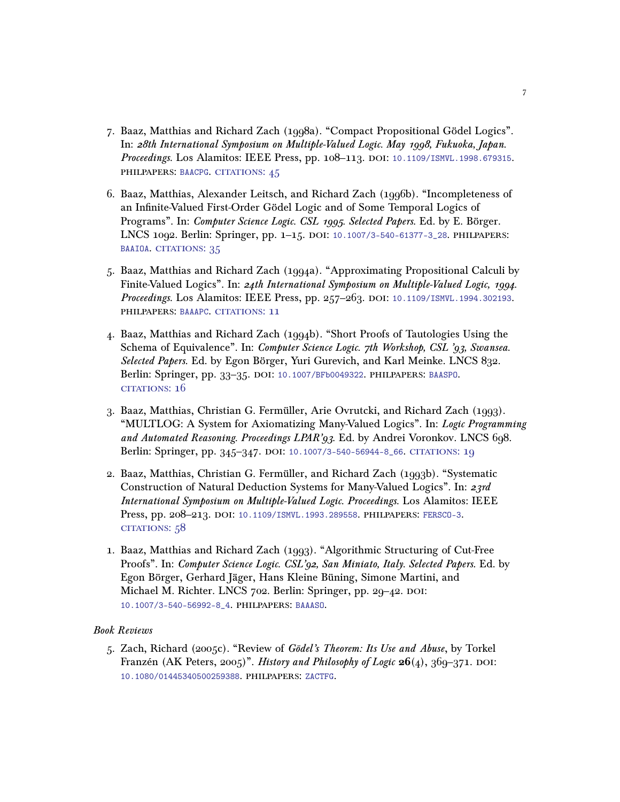- 7. Baaz, Matthias and Richard Zach (1998a). "Compact Propositional Gödel Logics". In: 28th International Symposium on Multiple-Valued Logic. May 1998, Fukuoka, Japan. Proceedings. Los Alamitos: IEEE Press, pp. 108-113. DOI: [10.1109/ISMVL.1998.679315](https://doi.org/10.1109/ISMVL.1998.679315). philpapers: [BAACPG](https://philpapers.org/rec/BAACPG). [citations: 45](https://scholar.google.com/scholar?cites=16570794783513748000,10336034394355109153)
- 6. Baaz, Matthias, Alexander Leitsch, and Richard Zach (1996b). "Incompleteness of an Infinite-Valued First-Order Gödel Logic and of Some Temporal Logics of Programs". In: Computer Science Logic. CSL 1995. Selected Papers. Ed. by E. Börger. LNCS 1092. Berlin: Springer, pp. 1–15. doi: [10.1007/3-540-61377-3\\_28](https://doi.org/10.1007/3-540-61377-3_28). philpapers: [BAAIOA](https://philpapers.org/rec/BAAIOA). CITATIONS: 35
- 5. Baaz, Matthias and Richard Zach (1994a). "Approximating Propositional Calculi by Finite-Valued Logics". In: 24th International Symposium on Multiple-Valued Logic, 1994. Proceedings. Los Alamitos: IEEE Press, pp. 257-263. DOI: [10.1109/ISMVL.1994.302193](https://doi.org/10.1109/ISMVL.1994.302193). philpapers: [BAAAPC](https://philpapers.org/rec/BAAAPC). [citations: 11](https://scholar.google.com/scholar?cites=5535613631669114049)
- 4. Baaz, Matthias and Richard Zach (1994b). "Short Proofs of Tautologies Using the Schema of Equivalence". In: Computer Science Logic. 7th Workshop, CSL '93, Swansea. Selected Papers. Ed. by Egon Börger, Yuri Gurevich, and Karl Meinke. LNCS 832. Berlin: Springer, pp. 33–35. doi: [10.1007/BFb0049322](https://doi.org/10.1007/BFb0049322). philpapers: [BAASPO](https://philpapers.org/rec/BAASPO). [citations: 16](https://scholar.google.com/scholar?cites=3576040704807647252)
- 3. Baaz, Matthias, Christian G. Fermüller, Arie Ovrutcki, and Richard Zach (1993). "MULTLOG: A System for Axiomatizing Many-Valued Logics". In: Logic Programming and Automated Reasoning. Proceedings LPAR'93. Ed. by Andrei Voronkov. LNCS 698. Berlin: Springer, pp. 345-347. DOI: [10.1007/3-540-56944-8\\_66](https://doi.org/10.1007/3-540-56944-8_66). CITATIONS: 19
- 2. Baaz, Matthias, Christian G. Fermüller, and Richard Zach (1993b). "Systematic Construction of Natural Deduction Systems for Many-Valued Logics". In: 23rd International Symposium on Multiple-Valued Logic. Proceedings. Los Alamitos: IEEE Press, pp. 208-213. DOI: [10.1109/ISMVL.1993.289558](https://doi.org/10.1109/ISMVL.1993.289558). PHILPAPERS: [FERSCO-3](https://philpapers.org/rec/FERSCO-3). [citations: 58](https://scholar.google.com/scholar?cites=8129704214380989574,8943239453694643393)
- 1. Baaz, Matthias and Richard Zach (1993). "Algorithmic Structuring of Cut-Free Proofs". In: Computer Science Logic. CSL'92, San Miniato, Italy. Selected Papers. Ed. by Egon Börger, Gerhard Jäger, Hans Kleine Büning, Simone Martini, and Michael M. Richter. LNCS 702. Berlin: Springer, pp. 29-42. DOI: [10.1007/3-540-56992-8\\_4](https://doi.org/10.1007/3-540-56992-8_4). philpapers: [BAAASO](https://philpapers.org/rec/BAAASO).

## Book Reviews

5. Zach, Richard (2005c). "Review of Gödel's Theorem: Its Use and Abuse, by Torkel Franzén (AK Peters, 2005)". History and Philosophy of Logic  $26(4)$ , 360–371. DOI: [10.1080/01445340500259388](https://doi.org/10.1080/01445340500259388). philpapers: [ZACTFG](https://philpapers.org/rec/ZACTFG).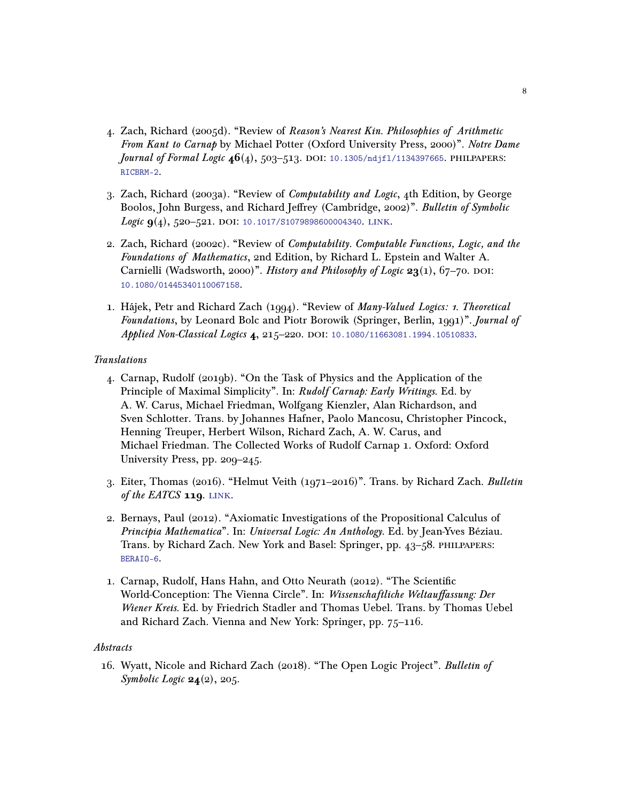- 4. Zach, Richard (2005d). "Review of Reason's Nearest Kin. Philosophies of Arithmetic From Kant to Carnap by Michael Potter (Oxford University Press, 2000)". Notre Dame Journal of Formal Logic  $46(4)$ , 503-513. DOI: 10.1305/ndjf1/1134397665. PHILPAPERS: [RICBRM-2](https://philpapers.org/rec/RICBRM-2).
- 3. Zach, Richard (2003a). "Review of Computability and Logic, 4th Edition, by George Boolos, John Burgess, and Richard Jeffrey (Cambridge, 2002)". Bulletin of Symbolic Logic  $9(4)$ , 520-521. DOI: [10.1017/S1079898600004340](https://doi.org/10.1017/S1079898600004340). LINK.
- 2. Zach, Richard (2002c). "Review of Computability. Computable Functions, Logic, and the Foundations of Mathematics, 2nd Edition, by Richard L. Epstein and Walter A. Carnielli (Wadsworth, 2000)". History and Philosophy of Logic  $23(1)$ , 67-70. DOI: [10.1080/01445340110067158](https://doi.org/10.1080/01445340110067158).
- 1. Hájek, Petr and Richard Zach (1994). "Review of Many-Valued Logics: 1. Theoretical Foundations, by Leonard Bolc and Piotr Borowik (Springer, Berlin, 1991)". Journal of Applied Non-Classical Logics 4, 215-220. DOI: [10.1080/11663081.1994.10510833](https://doi.org/10.1080/11663081.1994.10510833).

## Translations

- 4. Carnap, Rudolf (2019b). "On the Task of Physics and the Application of the Principle of Maximal Simplicity". In: Rudolf Carnap: Early Writings. Ed. by A. W. Carus, Michael Friedman, Wolfgang Kienzler, Alan Richardson, and Sven Schlotter. Trans. by Johannes Hafner, Paolo Mancosu, Christopher Pincock, Henning Treuper, Herbert Wilson, Richard Zach, A. W. Carus, and Michael Friedman. The Collected Works of Rudolf Carnap 1. Oxford: Oxford University Press, pp. 209–245.
- 3. Eiter, Thomas (2016). "Helmut Veith (1971–2016)". Trans. by Richard Zach. Bulletin of the EATCS 119. LINK.
- 2. Bernays, Paul (2012). "Axiomatic Investigations of the Propositional Calculus of Principia Mathematica". In: Universal Logic: An Anthology. Ed. by Jean-Yves Béziau. Trans. by Richard Zach. New York and Basel: Springer, pp. 43–58. philpapers: [BERAIO-6](https://philpapers.org/rec/BERAIO-6).
- 1. Carnap, Rudolf, Hans Hahn, and Otto Neurath (2012). "The Scientific World-Conception: The Vienna Circle". In: Wissenschaftliche Weltauffassung: Der Wiener Kreis. Ed. by Friedrich Stadler and Thomas Uebel. Trans. by Thomas Uebel and Richard Zach. Vienna and New York: Springer, pp. 75–116.

## Abstracts

16. Wyatt, Nicole and Richard Zach (2018). "The Open Logic Project". Bulletin of Symbolic Logic  $24(2)$ , 205.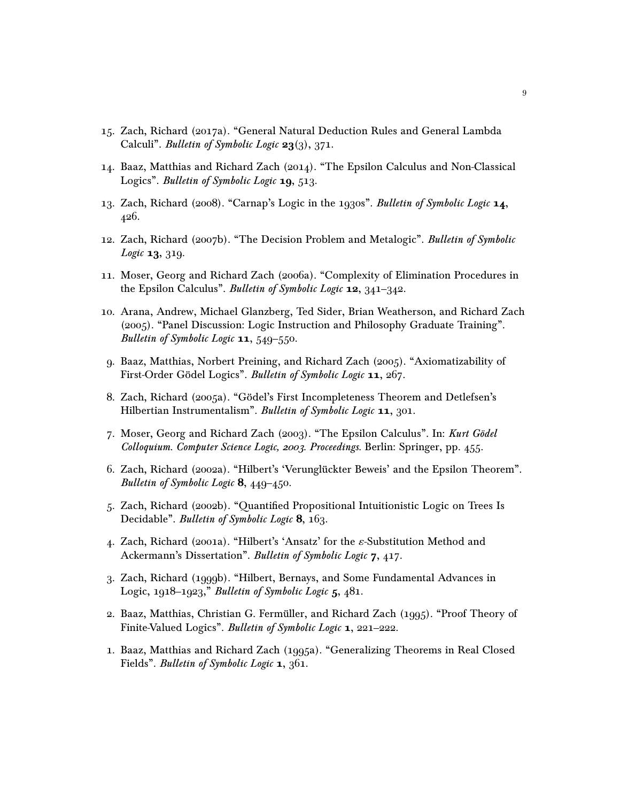- 15. Zach, Richard (2017a). "General Natural Deduction Rules and General Lambda Calculi". *Bulletin of Symbolic Logic* 23(3), 371.
- 14. Baaz, Matthias and Richard Zach (2014). "The Epsilon Calculus and Non-Classical Logics". *Bulletin of Symbolic Logic* 19, 513.
- 13. Zach, Richard (2008). "Carnap's Logic in the 1930s". Bulletin of Symbolic Logic 14, 426.
- 12. Zach, Richard (2007b). "The Decision Problem and Metalogic". Bulletin of Symbolic *Logic* **13**, 319.
- 11. Moser, Georg and Richard Zach (2006a). "Complexity of Elimination Procedures in the Epsilon Calculus". Bulletin of Symbolic Logic 12, 341-342.
- 10. Arana, Andrew, Michael Glanzberg, Ted Sider, Brian Weatherson, and Richard Zach (2005). "Panel Discussion: Logic Instruction and Philosophy Graduate Training". Bulletin of Symbolic Logic 11, 549-550.
- 9. Baaz, Matthias, Norbert Preining, and Richard Zach (2005). "Axiomatizability of First-Order Gödel Logics". Bulletin of Symbolic Logic 11, 267.
- 8. Zach, Richard (2005a). "Gödel's First Incompleteness Theorem and Detlefsen's Hilbertian Instrumentalism". Bulletin of Symbolic Logic 11, 301.
- 7. Moser, Georg and Richard Zach (2003). "The Epsilon Calculus". In: Kurt Gödel Colloquium. Computer Science Logic, 2003. Proceedings. Berlin: Springer, pp. 455.
- 6. Zach, Richard (2002a). "Hilbert's 'Verunglückter Beweis' and the Epsilon Theorem". Bulletin of Symbolic Logic 8, 449-450.
- 5. Zach, Richard (2002b). "Quantified Propositional Intuitionistic Logic on Trees Is Decidable". *Bulletin of Symbolic Logic* 8, 163.
- 4. Zach, Richard (2001a). "Hilbert's 'Ansatz' for the  $\varepsilon$ -Substitution Method and Ackermann's Dissertation". Bulletin of Symbolic Logic 7, 417.
- 3. Zach, Richard (1999b). "Hilbert, Bernays, and Some Fundamental Advances in Logic,  $1918-1923$ ," Bulletin of Symbolic Logic  $5,481$ .
- 2. Baaz, Matthias, Christian G. Fermüller, and Richard Zach (1995). "Proof Theory of Finite-Valued Logics". Bulletin of Symbolic Logic 1, 221–222.
- 1. Baaz, Matthias and Richard Zach (1995a). "Generalizing Theorems in Real Closed Fields". *Bulletin of Symbolic Logic* **1**, 361.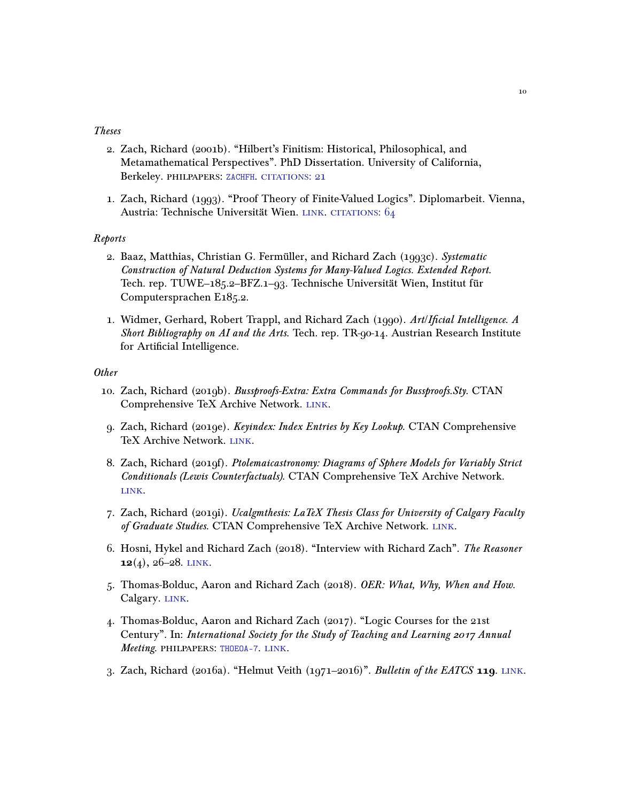#### Theses

- 2. Zach, Richard (2001b). "Hilbert's Finitism: Historical, Philosophical, and Metamathematical Perspectives". PhD Dissertation. University of California, Berkeley. PHILPAPERS: [ZACHFH](https://philpapers.org/rec/ZACHFH). CITATIONS: 21
- 1. Zach, Richard (1993). "Proof Theory of Finite-Valued Logics". Diplomarbeit. Vienna, Austria: Technische Universität Wien. LINK. CITATIONS: 64

## Reports

- 2. Baaz, Matthias, Christian G. Fermüller, and Richard Zach (1993c). Systematic Construction of Natural Deduction Systems for Many-Valued Logics. Extended Report. Tech. rep. TUWE–185.2–BFZ.1–93. Technische Universität Wien, Institut für Computersprachen E185.2.
- 1. Widmer, Gerhard, Robert Trappl, and Richard Zach (1990). Art/Ificial Intelligence. A Short Bibliography on AI and the Arts. Tech. rep. TR-90-14. Austrian Research Institute for Artificial Intelligence.

# **Other**

- 10. Zach, Richard (2019b). Bussproofs-Extra: Extra Commands for Bussproofs.Sty. CTAN Comprehensive TeX Archive Network. [link.](https://ctan.org/pkg/bussproofs-extra)
- 9. Zach, Richard (2019e). Keyindex: Index Entries by Key Lookup. CTAN Comprehensive TeX Archive Network. [link.](https://ctan.org/pkg/keyindex)
- 8. Zach, Richard (2019f). Ptolemaicastronomy: Diagrams of Sphere Models for Variably Strict Conditionals (Lewis Counterfactuals). CTAN Comprehensive TeX Archive Network. [link.](https://ctan.org/pkg/ptolemaicastronomy)
- 7. Zach, Richard (2019i). Ucalgmthesis: LaTeX Thesis Class for University of Calgary Faculty of Graduate Studies. CTAN Comprehensive TeX Archive Network. LINK.
- 6. Hosni, Hykel and Richard Zach (2018). "Interview with Richard Zach". The Reasoner  $12(4)$ , 26-28. LINK.
- 5. Thomas-Bolduc, Aaron and Richard Zach (2018). OER: What, Why, When and How. Calgary. LINK.
- 4. Thomas-Bolduc, Aaron and Richard Zach (2017). "Logic Courses for the 21st Century". In: International Society for the Study of Teaching and Learning 2017 Annual Meeting. philpapers: [THOEOA-7](https://philpapers.org/rec/THOEOA-7). [link.](https://openlogicproject.org/wp-content/uploads/2017/10/issotl-poster.pdf)
- 3. Zach, Richard (2016a). "Helmut Veith (1971–2016)". Bulletin of the EATCS  $119$ . LINK.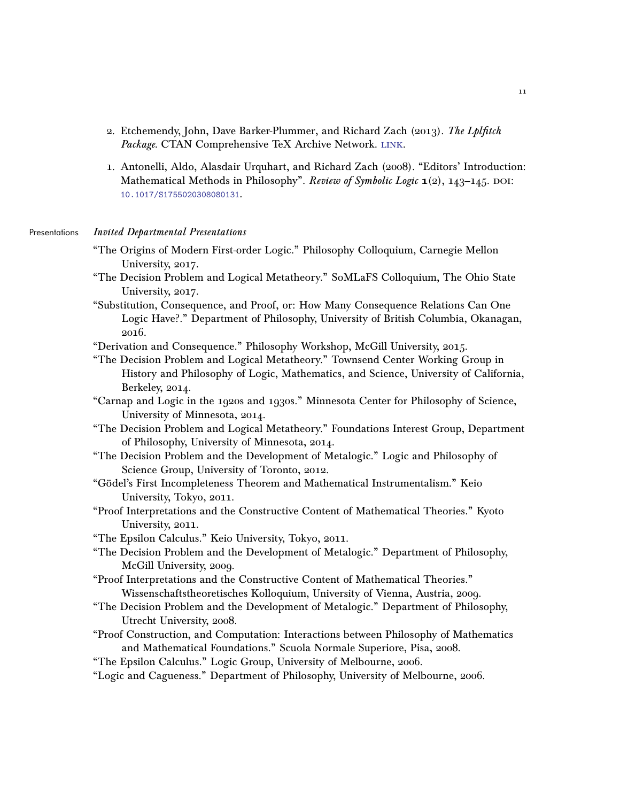- 2. Etchemendy, John, Dave Barker-Plummer, and Richard Zach (2013). The Lplfitch Package. CTAN Comprehensive TeX Archive Network. LINK.
- 1. Antonelli, Aldo, Alasdair Urquhart, and Richard Zach (2008). "Editors' Introduction: Mathematical Methods in Philosophy". Review of Symbolic Logic  $\mathbf{1}(2)$ ,  $143-145$ . DOI: [10.1017/S1755020308080131](https://doi.org/10.1017/S1755020308080131).

#### Presentations Invited Departmental Presentations

- "The Origins of Modern First-order Logic." Philosophy Colloquium, Carnegie Mellon University, 2017.
- "The Decision Problem and Logical Metatheory." SoMLaFS Colloquium, The Ohio State University, 2017.
- "Substitution, Consequence, and Proof, or: How Many Consequence Relations Can One Logic Have?." Department of Philosophy, University of British Columbia, Okanagan, 2016.
- "Derivation and Consequence." Philosophy Workshop, McGill University, 2015.
- "The Decision Problem and Logical Metatheory." Townsend Center Working Group in History and Philosophy of Logic, Mathematics, and Science, University of California, Berkeley, 2014.
- "Carnap and Logic in the 1920s and 1930s." Minnesota Center for Philosophy of Science, University of Minnesota, 2014.
- "The Decision Problem and Logical Metatheory." Foundations Interest Group, Department of Philosophy, University of Minnesota, 2014.
- "The Decision Problem and the Development of Metalogic." Logic and Philosophy of Science Group, University of Toronto, 2012.
- "Gödel's First Incompleteness Theorem and Mathematical Instrumentalism." Keio University, Tokyo, 2011.
- "Proof Interpretations and the Constructive Content of Mathematical Theories." Kyoto University, 2011.
- "The Epsilon Calculus." Keio University, Tokyo, 2011.
- "The Decision Problem and the Development of Metalogic." Department of Philosophy, McGill University, 2009.
- "Proof Interpretations and the Constructive Content of Mathematical Theories." Wissenschaftstheoretisches Kolloquium, University of Vienna, Austria, 2009.
- "The Decision Problem and the Development of Metalogic." Department of Philosophy, Utrecht University, 2008.
- "Proof Construction, and Computation: Interactions between Philosophy of Mathematics and Mathematical Foundations." Scuola Normale Superiore, Pisa, 2008.
- "The Epsilon Calculus." Logic Group, University of Melbourne, 2006.
- "Logic and Cagueness." Department of Philosophy, University of Melbourne, 2006.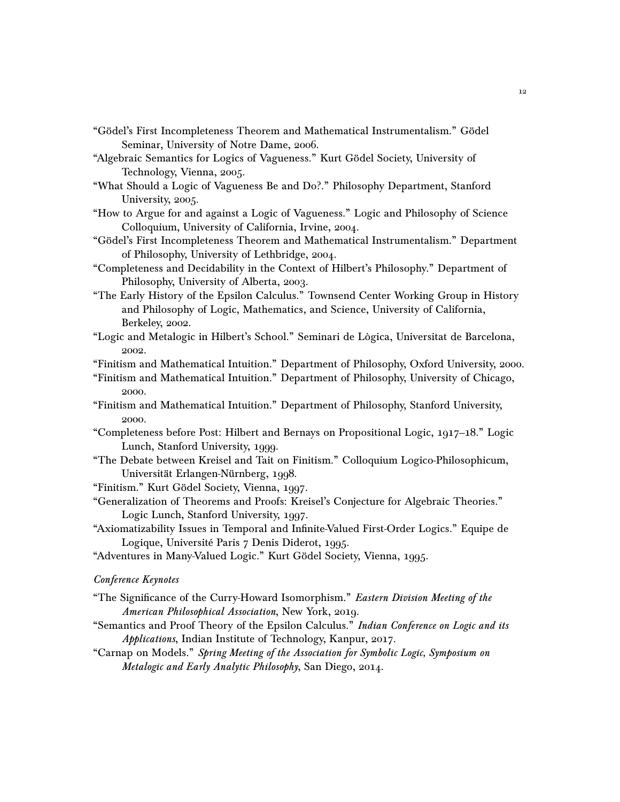- "Gödel's First Incompleteness Theorem and Mathematical Instrumentalism." Gödel Seminar, University of Notre Dame, 2006.
- "Algebraic Semantics for Logics of Vagueness." Kurt Gödel Society, University of Technology, Vienna, 2005.
- "What Should a Logic of Vagueness Be and Do?." Philosophy Department, Stanford University, 2005.
- "How to Argue for and against a Logic of Vagueness." Logic and Philosophy of Science Colloquium, University of California, Irvine, 2004.
- "Gödel's First Incompleteness Theorem and Mathematical Instrumentalism." Department of Philosophy, University of Lethbridge, 2004.
- "Completeness and Decidability in the Context of Hilbert's Philosophy." Department of Philosophy, University of Alberta, 2003.
- "The Early History of the Epsilon Calculus." Townsend Center Working Group in History and Philosophy of Logic, Mathematics, and Science, University of California, Berkeley, 2002.
- "Logic and Metalogic in Hilbert's School." Seminari de Lògica, Universitat de Barcelona, 2002.
- "Finitism and Mathematical Intuition." Department of Philosophy, Oxford University, 2000.
- "Finitism and Mathematical Intuition." Department of Philosophy, University of Chicago, 2000.
- "Finitism and Mathematical Intuition." Department of Philosophy, Stanford University, 2000.
- "Completeness before Post: Hilbert and Bernays on Propositional Logic, 1917–18." Logic Lunch, Stanford University, 1999.
- "The Debate between Kreisel and Tait on Finitism." Colloquium Logico-Philosophicum, Universität Erlangen-Nürnberg, 1998.
- "Finitism." Kurt Gödel Society, Vienna, 1997.
- "Generalization of Theorems and Proofs: Kreisel's Conjecture for Algebraic Theories." Logic Lunch, Stanford University, 1997.
- "Axiomatizability Issues in Temporal and Infinite-Valued First-Order Logics." Equipe de Logique, Université Paris 7 Denis Diderot, 1995.
- "Adventures in Many-Valued Logic." Kurt Gödel Society, Vienna, 1995.

## Conference Keynotes

- "The Significance of the Curry-Howard Isomorphism." Eastern Division Meeting of the American Philosophical Association, New York, 2019.
- "Semantics and Proof Theory of the Epsilon Calculus." Indian Conference on Logic and its Applications, Indian Institute of Technology, Kanpur, 2017.
- "Carnap on Models." Spring Meeting of the Association for Symbolic Logic, Symposium on Metalogic and Early Analytic Philosophy, San Diego, 2014.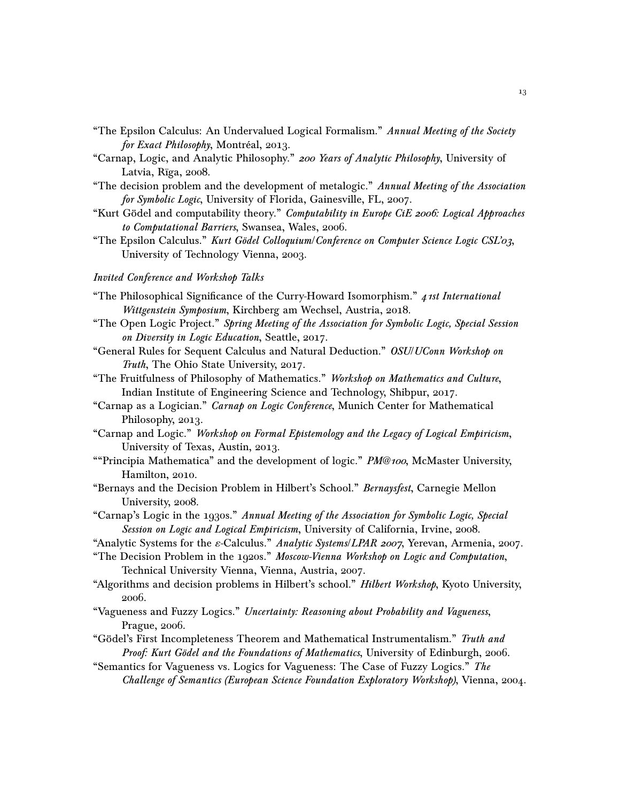- "The Epsilon Calculus: An Undervalued Logical Formalism." Annual Meeting of the Society for Exact Philosophy, Montréal, 2013.
- "Carnap, Logic, and Analytic Philosophy." 200 Years of Analytic Philosophy, University of Latvia, Rīga, 2008.
- "The decision problem and the development of metalogic." Annual Meeting of the Association for Symbolic Logic, University of Florida, Gainesville, FL, 2007.
- "Kurt Gödel and computability theory." Computability in Europe CiE 2006: Logical Approaches to Computational Barriers, Swansea, Wales, 2006.
- "The Epsilon Calculus." Kurt Gödel Colloquium/Conference on Computer Science Logic CSL'03, University of Technology Vienna, 2003.

## Invited Conference and Workshop Talks

- "The Philosophical Significance of the Curry-Howard Isomorphism."  $\mu$  *1st International* Wittgenstein Symposium, Kirchberg am Wechsel, Austria, 2018.
- "The Open Logic Project." Spring Meeting of the Association for Symbolic Logic, Special Session on Diversity in Logic Education, Seattle, 2017.
- "General Rules for Sequent Calculus and Natural Deduction." OSU/UConn Workshop on Truth, The Ohio State University, 2017.
- "The Fruitfulness of Philosophy of Mathematics." Workshop on Mathematics and Culture, Indian Institute of Engineering Science and Technology, Shibpur, 2017.
- "Carnap as a Logician." Carnap on Logic Conference, Munich Center for Mathematical Philosophy, 2013.
- "Carnap and Logic." Workshop on Formal Epistemology and the Legacy of Logical Empiricism, University of Texas, Austin, 2013.
- "Trincipia Mathematica" and the development of logic." PM@100, McMaster University, Hamilton, 2010.
- "Bernays and the Decision Problem in Hilbert's School." Bernaysfest, Carnegie Mellon University, 2008.
- "Carnap's Logic in the 1930s." Annual Meeting of the Association for Symbolic Logic, Special Session on Logic and Logical Empiricism, University of California, Irvine, 2008.
- "Analytic Systems for the *ε*-Calculus." Analytic Systems/LPAR 2007, Yerevan, Armenia, 2007.
- "The Decision Problem in the 1920s." Moscow-Vienna Workshop on Logic and Computation, Technical University Vienna, Vienna, Austria, 2007.
- "Algorithms and decision problems in Hilbert's school." Hilbert Workshop, Kyoto University, 2006.
- "Vagueness and Fuzzy Logics." Uncertainty: Reasoning about Probability and Vagueness, Prague, 2006.
- "Gödel's First Incompleteness Theorem and Mathematical Instrumentalism." Truth and Proof: Kurt Gödel and the Foundations of Mathematics, University of Edinburgh, 2006.
- "Semantics for Vagueness vs. Logics for Vagueness: The Case of Fuzzy Logics." The Challenge of Semantics (European Science Foundation Exploratory Workshop), Vienna, 2004.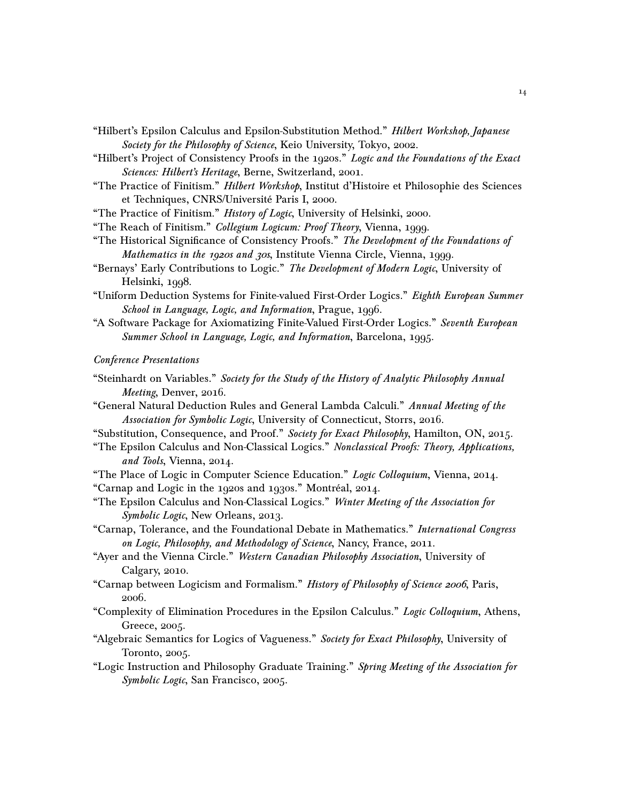- "Hilbert's Epsilon Calculus and Epsilon-Substitution Method." Hilbert Workshop, Japanese Society for the Philosophy of Science, Keio University, Tokyo, 2002.
- "Hilbert's Project of Consistency Proofs in the 1920s." Logic and the Foundations of the Exact Sciences: Hilbert's Heritage, Berne, Switzerland, 2001.
- "The Practice of Finitism." Hilbert Workshop, Institut d'Histoire et Philosophie des Sciences et Techniques, CNRS/Université Paris I, 2000.
- "The Practice of Finitism." History of Logic, University of Helsinki, 2000.
- "The Reach of Finitism." Collegium Logicum: Proof Theory, Vienna, 1999.
- "The Historical Significance of Consistency Proofs." The Development of the Foundations of Mathematics in the 1920s and 30s, Institute Vienna Circle, Vienna, 1999.
- "Bernays' Early Contributions to Logic." The Development of Modern Logic, University of Helsinki, 1998.
- "Uniform Deduction Systems for Finite-valued First-Order Logics." Eighth European Summer School in Language, Logic, and Information, Prague, 1996.
- "A Software Package for Axiomatizing Finite-Valued First-Order Logics." Seventh European Summer School in Language, Logic, and Information, Barcelona, 1995.

#### Conference Presentations

- "Steinhardt on Variables." Society for the Study of the History of Analytic Philosophy Annual Meeting, Denver, 2016.
- "General Natural Deduction Rules and General Lambda Calculi." Annual Meeting of the Association for Symbolic Logic, University of Connecticut, Storrs, 2016.
- "Substitution, Consequence, and Proof." Society for Exact Philosophy, Hamilton, ON, 2015.
- "The Epsilon Calculus and Non-Classical Logics." Nonclassical Proofs: Theory, Applications, and Tools, Vienna, 2014.
- "The Place of Logic in Computer Science Education." Logic Colloquium, Vienna, 2014. "Carnap and Logic in the 1920s and 1930s." Montréal, 2014.
- "The Epsilon Calculus and Non-Classical Logics." Winter Meeting of the Association for Symbolic Logic, New Orleans, 2013.
- "Carnap, Tolerance, and the Foundational Debate in Mathematics." International Congress on Logic, Philosophy, and Methodology of Science, Nancy, France, 2011.
- "Ayer and the Vienna Circle." Western Canadian Philosophy Association, University of Calgary, 2010.
- "Carnap between Logicism and Formalism." History of Philosophy of Science 2006, Paris, 2006.
- "Complexity of Elimination Procedures in the Epsilon Calculus." Logic Colloquium, Athens, Greece, 2005.
- "Algebraic Semantics for Logics of Vagueness." Society for Exact Philosophy, University of Toronto, 2005.
- "Logic Instruction and Philosophy Graduate Training." Spring Meeting of the Association for Symbolic Logic, San Francisco, 2005.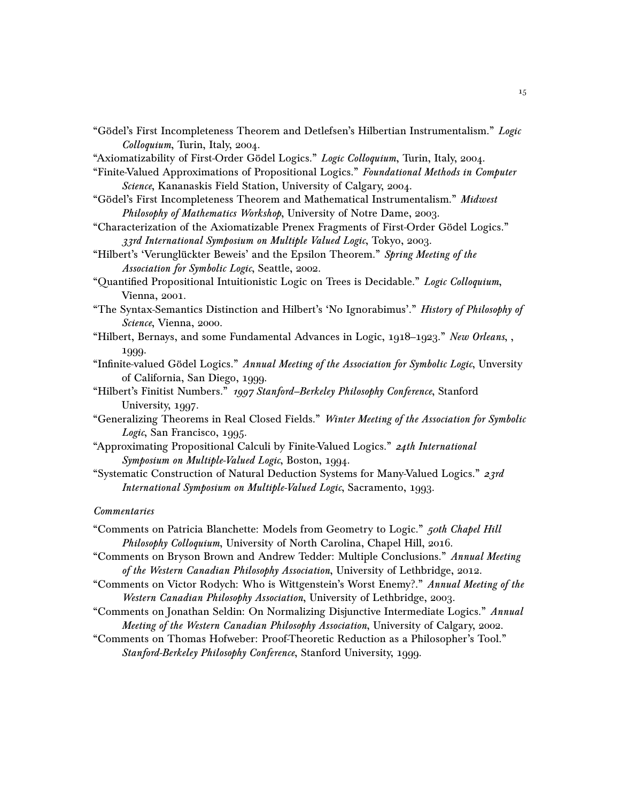- "Gödel's First Incompleteness Theorem and Detlefsen's Hilbertian Instrumentalism." Logic Colloquium, Turin, Italy, 2004.
- "Axiomatizability of First-Order Gödel Logics." Logic Colloquium, Turin, Italy, 2004.
- "Finite-Valued Approximations of Propositional Logics." Foundational Methods in Computer Science, Kananaskis Field Station, University of Calgary, 2004.
- "Gödel's First Incompleteness Theorem and Mathematical Instrumentalism." Midwest Philosophy of Mathematics Workshop, University of Notre Dame, 2003.
- "Characterization of the Axiomatizable Prenex Fragments of First-Order Gödel Logics." 33rd International Symposium on Multiple Valued Logic, Tokyo, 2003.
- "Hilbert's 'Verunglückter Beweis' and the Epsilon Theorem." Spring Meeting of the Association for Symbolic Logic, Seattle, 2002.
- "Quantified Propositional Intuitionistic Logic on Trees is Decidable." Logic Colloquium, Vienna, 2001.
- "The Syntax-Semantics Distinction and Hilbert's 'No Ignorabimus'." History of Philosophy of Science, Vienna, 2000.
- "Hilbert, Bernays, and some Fundamental Advances in Logic, 1918–1923." New Orleans, 1999.
- "Infinite-valued Gödel Logics." Annual Meeting of the Association for Symbolic Logic, Unversity of California, San Diego, 1999.
- "Hilbert's Finitist Numbers." 1997 Stanford–Berkeley Philosophy Conference, Stanford University, 1997.
- "Generalizing Theorems in Real Closed Fields." Winter Meeting of the Association for Symbolic Logic, San Francisco, 1995.
- "Approximating Propositional Calculi by Finite-Valued Logics." 24th International Symposium on Multiple-Valued Logic, Boston, 1994.
- "Systematic Construction of Natural Deduction Systems for Many-Valued Logics."  $23rd$ International Symposium on Multiple-Valued Logic, Sacramento, 1993.

#### **Commentaries**

- "Comments on Patricia Blanchette: Models from Geometry to Logic." *50th Chapel Hill* Philosophy Colloquium, University of North Carolina, Chapel Hill, 2016.
- "Comments on Bryson Brown and Andrew Tedder: Multiple Conclusions." Annual Meeting of the Western Canadian Philosophy Association, University of Lethbridge, 2012.
- "Comments on Victor Rodych: Who is Wittgenstein's Worst Enemy?." Annual Meeting of the Western Canadian Philosophy Association, University of Lethbridge, 2003.
- "Comments on Jonathan Seldin: On Normalizing Disjunctive Intermediate Logics." Annual Meeting of the Western Canadian Philosophy Association, University of Calgary, 2002.
- "Comments on Thomas Hofweber: Proof-Theoretic Reduction as a Philosopher's Tool." Stanford-Berkeley Philosophy Conference, Stanford University, 1999.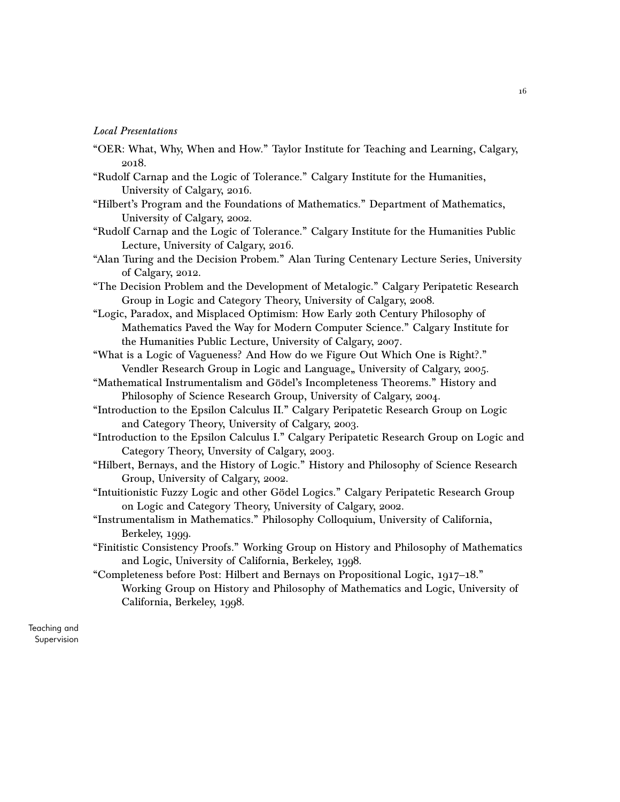## Local Presentations

- "OER: What, Why, When and How." Taylor Institute for Teaching and Learning, Calgary, 2018.
- "Rudolf Carnap and the Logic of Tolerance." Calgary Institute for the Humanities, University of Calgary, 2016.
- "Hilbert's Program and the Foundations of Mathematics." Department of Mathematics, University of Calgary, 2002.
- "Rudolf Carnap and the Logic of Tolerance." Calgary Institute for the Humanities Public Lecture, University of Calgary, 2016.
- "Alan Turing and the Decision Probem." Alan Turing Centenary Lecture Series, University of Calgary, 2012.
- "The Decision Problem and the Development of Metalogic." Calgary Peripatetic Research Group in Logic and Category Theory, University of Calgary, 2008.
- "Logic, Paradox, and Misplaced Optimism: How Early 20th Century Philosophy of Mathematics Paved the Way for Modern Computer Science." Calgary Institute for the Humanities Public Lecture, University of Calgary, 2007.
- "What is a Logic of Vagueness? And How do we Figure Out Which One is Right?." Vendler Research Group in Logic and Language, University of Calgary, 2005.
- "Mathematical Instrumentalism and Gödel's Incompleteness Theorems." History and Philosophy of Science Research Group, University of Calgary, 2004.
- "Introduction to the Epsilon Calculus II." Calgary Peripatetic Research Group on Logic and Category Theory, University of Calgary, 2003.
- "Introduction to the Epsilon Calculus I." Calgary Peripatetic Research Group on Logic and Category Theory, Unversity of Calgary, 2003.
- "Hilbert, Bernays, and the History of Logic." History and Philosophy of Science Research Group, University of Calgary, 2002.
- "Intuitionistic Fuzzy Logic and other Gödel Logics." Calgary Peripatetic Research Group on Logic and Category Theory, University of Calgary, 2002.
- "Instrumentalism in Mathematics." Philosophy Colloquium, University of California, Berkeley, 1999.
- "Finitistic Consistency Proofs." Working Group on History and Philosophy of Mathematics and Logic, University of California, Berkeley, 1998.
- "Completeness before Post: Hilbert and Bernays on Propositional Logic, 1917–18." Working Group on History and Philosophy of Mathematics and Logic, University of California, Berkeley, 1998.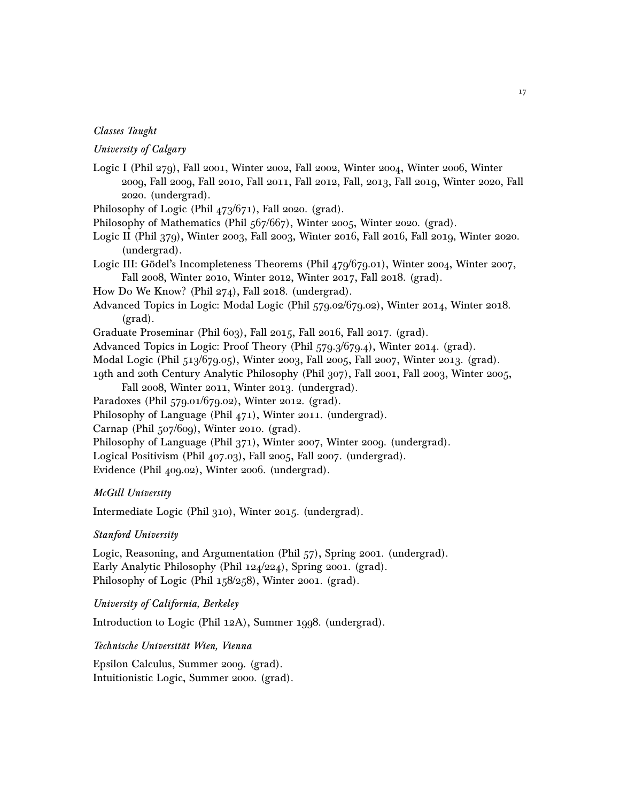## Classes Taught

# University of Calgary

- Logic I (Phil 279), Fall 2001, Winter 2002, Fall 2002, Winter 2004, Winter 2006, Winter 2009, Fall 2009, Fall 2010, Fall 2011, Fall 2012, Fall, 2013, Fall 2019, Winter 2020, Fall 2020. (undergrad).
- Philosophy of Logic (Phil 473/671), Fall 2020. (grad).
- Philosophy of Mathematics (Phil 567/667), Winter 2005, Winter 2020. (grad).
- Logic II (Phil 379), Winter 2003, Fall 2003, Winter 2016, Fall 2016, Fall 2019, Winter 2020. (undergrad).
- Logic III: Gödel's Incompleteness Theorems (Phil 479/679.01), Winter 2004, Winter 2007, Fall 2008, Winter 2010, Winter 2012, Winter 2017, Fall 2018. (grad).
- How Do We Know? (Phil 274), Fall 2018. (undergrad).
- Advanced Topics in Logic: Modal Logic (Phil 579.02/679.02), Winter 2014, Winter 2018. (grad).
- Graduate Proseminar (Phil 603), Fall 2015, Fall 2016, Fall 2017. (grad).
- Advanced Topics in Logic: Proof Theory (Phil 579.3/679.4), Winter 2014. (grad).
- Modal Logic (Phil 513/679.05), Winter 2003, Fall 2005, Fall 2007, Winter 2013. (grad).
- 19th and 20th Century Analytic Philosophy (Phil 307), Fall 2001, Fall 2003, Winter 2005, Fall 2008, Winter 2011, Winter 2013. (undergrad).
- Paradoxes (Phil 579.01/679.02), Winter 2012. (grad).
- Philosophy of Language (Phil 471), Winter 2011. (undergrad).
- Carnap (Phil 507/609), Winter 2010. (grad).
- Philosophy of Language (Phil 371), Winter 2007, Winter 2009. (undergrad).
- Logical Positivism (Phil 407.03), Fall 2005, Fall 2007. (undergrad).
- Evidence (Phil 409.02), Winter 2006. (undergrad).

#### McGill University

Intermediate Logic (Phil 310), Winter 2015. (undergrad).

## Stanford University

Logic, Reasoning, and Argumentation (Phil 57), Spring 2001. (undergrad). Early Analytic Philosophy (Phil 124/224), Spring 2001. (grad). Philosophy of Logic (Phil 158/258), Winter 2001. (grad).

University of California, Berkeley

Introduction to Logic (Phil 12A), Summer 1998. (undergrad).

Technische Universität Wien, Vienna

Epsilon Calculus, Summer 2009. (grad). Intuitionistic Logic, Summer 2000. (grad).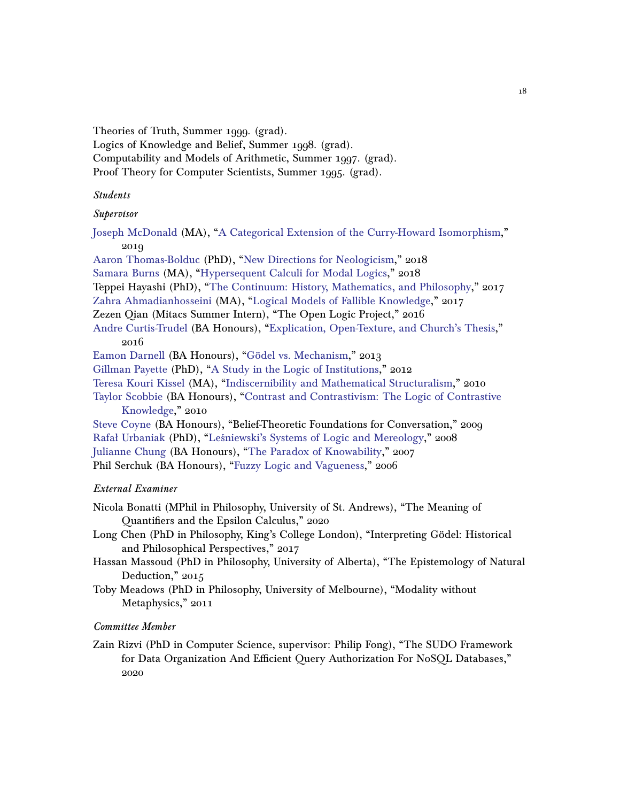Theories of Truth, Summer 1999. (grad).

Logics of Knowledge and Belief, Summer 1998. (grad).

- Computability and Models of Arithmetic, Summer 1997. (grad).
- Proof Theory for Computer Scientists, Summer 1995. (grad).

# Students

# Supervisor

[Joseph McDonald](http://www.illc.uva.nl/People/show_person/?Person_id=McDonald%20J.S.) (MA), ["A Categorical Extension of the Curry-Howard Isomorphism,](https://prism.ucalgary.ca/handle/1880/111014)" 2019

[Aaron Thomas-Bolduc](https://hcommons.org/members/arthomasbolduc/) (PhD), ["New Directions for Neologicism,](https://prism.ucalgary.ca/handle/1880/107131)" 2018 [Samara Burns](https://philosophy.columbia.edu/directories/student/samara-burns) (MA), ["Hypersequent Calculi for Modal Logics,](https://prism.ucalgary.ca/handle/1880/106539)" 2018 Teppei Hayashi (PhD), ["The Continuum: History, Mathematics, and Philosophy,](https://prism.ucalgary.ca/handle/1880/106283)" 2017 [Zahra Ahmadianhosseini](http://logic.berkeley.edu/students.html) (MA), ["Logical Models of Fallible Knowledge,](https://prism.ucalgary.ca/handle/11023/3942)" 2017 Zezen Qian (Mitacs Summer Intern), "The Open Logic Project," 2016 [Andre Curtis-Trudel](https://philosophy.osu.edu/people/curtistrudel.1) (BA Honours), ["Explication, Open-Texture, and Church's Thesis,](http://dspace.ucalgary.ca/handle/1880/51499)" 2016 [Eamon Darnell](https://philosophy.utoronto.ca/directory/eamon-michael-darnell/) (BA Honours), ["Gödel vs. Mechanism,](http://dspace.ucalgary.ca/handle/1880/50993)" 2013 [Gillman Payette](https://uleth.academia.edu/GillmanPayette) (PhD), ["A Study in the Logic of Institutions,](http://hdl.handle.net/11023/115)" 2012 [Teresa Kouri Kissel](https://sites.google.com/site/teresakouri/) (MA), ["Indiscernibility and Mathematical Structuralism,](http://dspace.ucalgary.ca/handle/1880/47829)" 2010 [Taylor Scobbie](https://www.linkedin.com/in/taylor-scobbie-42aa70bb) (BA Honours), ["Contrast and Contrastivism: The Logic of Contrastive](http://dspace.ucalgary.ca/handle/1880/51000) [Knowledge,](http://dspace.ucalgary.ca/handle/1880/51000)" 2010 [Steve Coyne](http://www.stevecoyne.ca/) (BA Honours), "Belief-Theoretic Foundations for Conversation," 2009 [Rafał Urbaniak](https://ug.academia.edu/Rafa%C5%82Urbaniak) (PhD), ["Leśniewski's Systems of Logic and Mereology,](http://dspace.ucalgary.ca/handle/1880/46697)" 2008 [Julianne Chung](https://louisville.edu/philosophy/People/faculty-profile-pages/julianne-chung) (BA Honours), ["The Paradox of Knowability,](http://dspace.ucalgary.ca/handle/1880/46819)" 2007 Phil Serchuk (BA Honours), ["Fuzzy Logic and Vagueness,](http://dspace.ucalgary.ca/handle/1880/46689)" 2006

# External Examiner

Nicola Bonatti (MPhil in Philosophy, University of St. Andrews), "The Meaning of Quantifiers and the Epsilon Calculus," 2020

- Long Chen (PhD in Philosophy, King's College London), "Interpreting Gödel: Historical and Philosophical Perspectives," 2017
- Hassan Massoud (PhD in Philosophy, University of Alberta), "The Epistemology of Natural Deduction," 2015
- Toby Meadows (PhD in Philosophy, University of Melbourne), "Modality without Metaphysics," 2011

# Committee Member

Zain Rizvi (PhD in Computer Science, supervisor: Philip Fong), "The SUDO Framework for Data Organization And Efficient Query Authorization For NoSQL Databases," 2020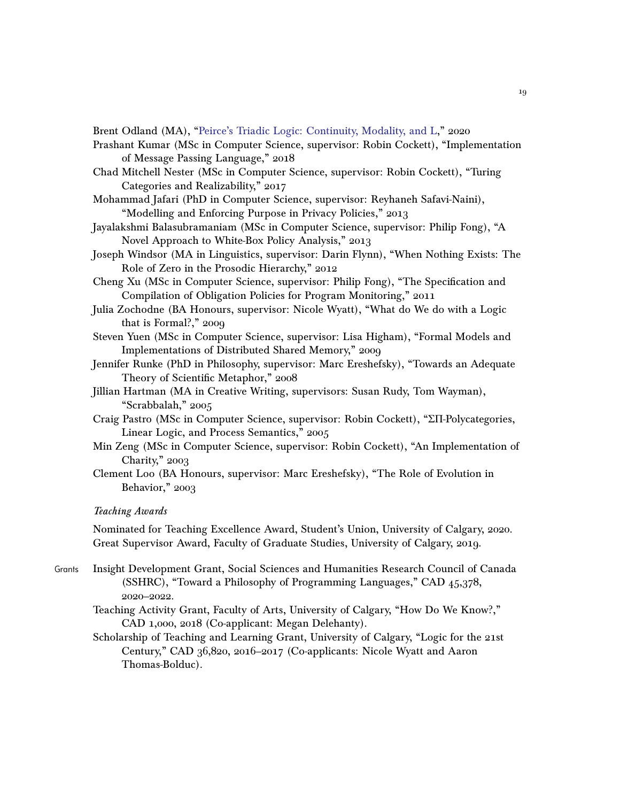Brent Odland (MA), ["Peirce's Triadic Logic: Continuity, Modality, and L,](http://hdl.handle.net/1880/112238)" 2020

- Prashant Kumar (MSc in Computer Science, supervisor: Robin Cockett), "Implementation of Message Passing Language," 2018
- Chad Mitchell Nester (MSc in Computer Science, supervisor: Robin Cockett), "Turing Categories and Realizability," 2017
- Mohammad Jafari (PhD in Computer Science, supervisor: Reyhaneh Safavi-Naini), "Modelling and Enforcing Purpose in Privacy Policies," 2013
- Jayalakshmi Balasubramaniam (MSc in Computer Science, supervisor: Philip Fong), "A Novel Approach to White-Box Policy Analysis," 2013
- Joseph Windsor (MA in Linguistics, supervisor: Darin Flynn), "When Nothing Exists: The Role of Zero in the Prosodic Hierarchy," 2012
- Cheng Xu (MSc in Computer Science, supervisor: Philip Fong), "The Specification and Compilation of Obligation Policies for Program Monitoring," 2011
- Julia Zochodne (BA Honours, supervisor: Nicole Wyatt), "What do We do with a Logic that is Formal?," 2009
- Steven Yuen (MSc in Computer Science, supervisor: Lisa Higham), "Formal Models and Implementations of Distributed Shared Memory," 2009
- Jennifer Runke (PhD in Philosophy, supervisor: Marc Ereshefsky), "Towards an Adequate Theory of Scientific Metaphor," 2008
- Jillian Hartman (MA in Creative Writing, supervisors: Susan Rudy, Tom Wayman), "Scrabbalah," 2005
- Craig Pastro (MSc in Computer Science, supervisor: Robin Cockett), "ΣΠ-Polycategories, Linear Logic, and Process Semantics," 2005
- Min Zeng (MSc in Computer Science, supervisor: Robin Cockett), "An Implementation of Charity," 2003
- Clement Loo (BA Honours, supervisor: Marc Ereshefsky), "The Role of Evolution in Behavior," 2003

### Teaching Awards

Nominated for Teaching Excellence Award, Student's Union, University of Calgary, 2020. Great Supervisor Award, Faculty of Graduate Studies, University of Calgary, 2019.

- Grants Insight Development Grant, Social Sciences and Humanities Research Council of Canada (SSHRC), "Toward a Philosophy of Programming Languages," CAD 45,378, 2020–2022.
	- Teaching Activity Grant, Faculty of Arts, University of Calgary, "How Do We Know?," CAD 1,000, 2018 (Co-applicant: Megan Delehanty).
	- Scholarship of Teaching and Learning Grant, University of Calgary, "Logic for the 21st Century," CAD 36,820, 2016–2017 (Co-applicants: Nicole Wyatt and Aaron Thomas-Bolduc).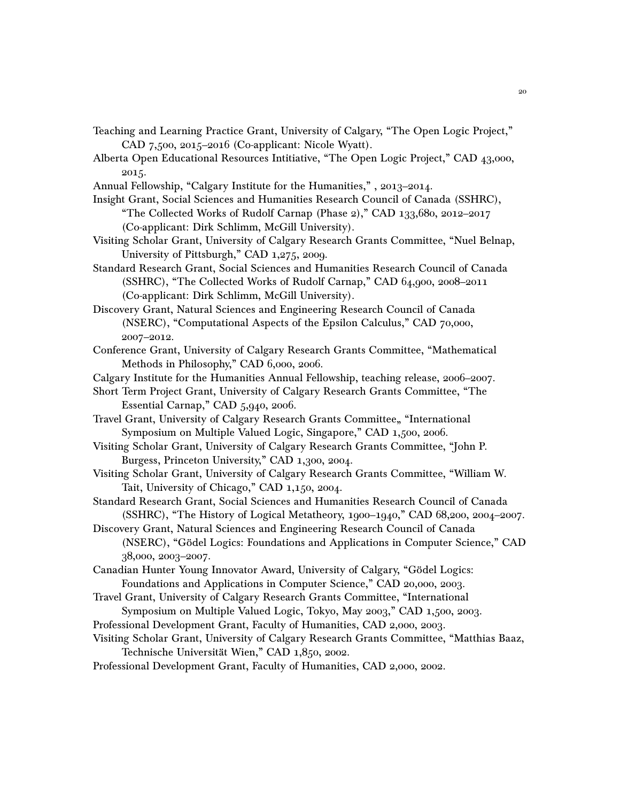- Teaching and Learning Practice Grant, University of Calgary, "The Open Logic Project," CAD 7,500, 2015–2016 (Co-applicant: Nicole Wyatt).
- Alberta Open Educational Resources Intitiative, "The Open Logic Project," CAD 43,000, 2015.
- Annual Fellowship, "Calgary Institute for the Humanities," , 2013–2014.
- Insight Grant, Social Sciences and Humanities Research Council of Canada (SSHRC), "The Collected Works of Rudolf Carnap (Phase 2)," CAD 133,680, 2012–2017 (Co-applicant: Dirk Schlimm, McGill University).
- Visiting Scholar Grant, University of Calgary Research Grants Committee, "Nuel Belnap, University of Pittsburgh," CAD 1,275, 2009.
- Standard Research Grant, Social Sciences and Humanities Research Council of Canada (SSHRC), "The Collected Works of Rudolf Carnap," CAD 64,900, 2008–2011 (Co-applicant: Dirk Schlimm, McGill University).

Discovery Grant, Natural Sciences and Engineering Research Council of Canada (NSERC), "Computational Aspects of the Epsilon Calculus," CAD 70,000, 2007–2012.

- Conference Grant, University of Calgary Research Grants Committee, "Mathematical Methods in Philosophy," CAD 6,000, 2006.
- Calgary Institute for the Humanities Annual Fellowship, teaching release, 2006–2007.
- Short Term Project Grant, University of Calgary Research Grants Committee, "The Essential Carnap," CAD 5,940, 2006.
- Travel Grant, University of Calgary Research Grants Committee, "International Symposium on Multiple Valued Logic, Singapore," CAD 1,500, 2006.
- Visiting Scholar Grant, University of Calgary Research Grants Committee, "John P. Burgess, Princeton University," CAD 1,300, 2004.
- Visiting Scholar Grant, University of Calgary Research Grants Committee, "William W. Tait, University of Chicago," CAD 1,150, 2004.
- Standard Research Grant, Social Sciences and Humanities Research Council of Canada (SSHRC), "The History of Logical Metatheory, 1900–1940," CAD 68,200, 2004–2007.
- Discovery Grant, Natural Sciences and Engineering Research Council of Canada (NSERC), "Gödel Logics: Foundations and Applications in Computer Science," CAD 38,000, 2003–2007.
- Canadian Hunter Young Innovator Award, University of Calgary, "Gödel Logics: Foundations and Applications in Computer Science," CAD 20,000, 2003.
- Travel Grant, University of Calgary Research Grants Committee, "International Symposium on Multiple Valued Logic, Tokyo, May 2003," CAD 1,500, 2003.
- Professional Development Grant, Faculty of Humanities, CAD 2,000, 2003.
- Visiting Scholar Grant, University of Calgary Research Grants Committee, "Matthias Baaz, Technische Universität Wien," CAD 1,850, 2002.
- Professional Development Grant, Faculty of Humanities, CAD 2,000, 2002.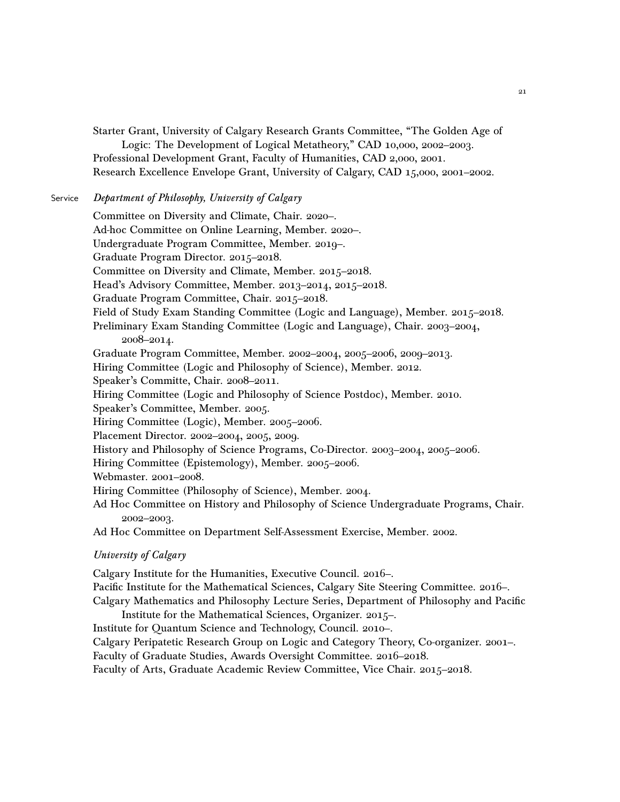Starter Grant, University of Calgary Research Grants Committee, "The Golden Age of

Logic: The Development of Logical Metatheory," CAD 10,000, 2002–2003. Professional Development Grant, Faculty of Humanities, CAD 2,000, 2001. Research Excellence Envelope Grant, University of Calgary, CAD 15,000, 2001–2002.

# Service Department of Philosophy, University of Calgary

Committee on Diversity and Climate, Chair. 2020–. Ad-hoc Committee on Online Learning, Member. 2020–. Undergraduate Program Committee, Member. 2019–. Graduate Program Director. 2015–2018. Committee on Diversity and Climate, Member. 2015–2018. Head's Advisory Committee, Member. 2013–2014, 2015–2018. Graduate Program Committee, Chair. 2015–2018. Field of Study Exam Standing Committee (Logic and Language), Member. 2015–2018. Preliminary Exam Standing Committee (Logic and Language), Chair. 2003–2004, 2008–2014. Graduate Program Committee, Member. 2002–2004, 2005–2006, 2009–2013. Hiring Committee (Logic and Philosophy of Science), Member. 2012. Speaker's Committe, Chair. 2008–2011. Hiring Committee (Logic and Philosophy of Science Postdoc), Member. 2010. Speaker's Committee, Member. 2005. Hiring Committee (Logic), Member. 2005–2006. Placement Director. 2002–2004, 2005, 2009. History and Philosophy of Science Programs, Co-Director. 2003–2004, 2005–2006. Hiring Committee (Epistemology), Member. 2005–2006. Webmaster. 2001–2008. Hiring Committee (Philosophy of Science), Member. 2004. Ad Hoc Committee on History and Philosophy of Science Undergraduate Programs, Chair. 2002–2003. Ad Hoc Committee on Department Self-Assessment Exercise, Member. 2002.

# University of Calgary

Calgary Institute for the Humanities, Executive Council. 2016–. Pacific Institute for the Mathematical Sciences, Calgary Site Steering Committee. 2016–. Calgary Mathematics and Philosophy Lecture Series, Department of Philosophy and Pacific Institute for the Mathematical Sciences, Organizer. 2015–.

Institute for Quantum Science and Technology, Council. 2010–. Calgary Peripatetic Research Group on Logic and Category Theory, Co-organizer. 2001–. Faculty of Graduate Studies, Awards Oversight Committee. 2016–2018. Faculty of Arts, Graduate Academic Review Committee, Vice Chair. 2015–2018.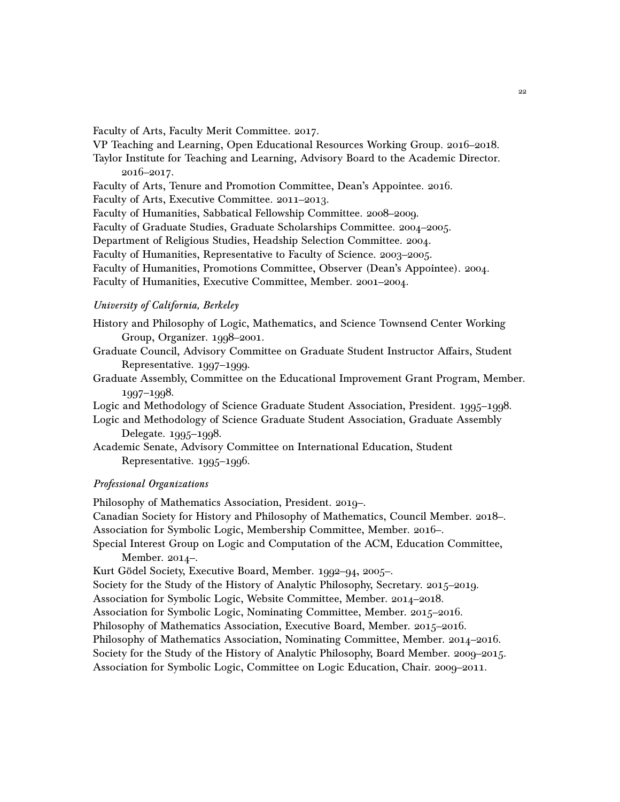Faculty of Arts, Faculty Merit Committee. 2017.

VP Teaching and Learning, Open Educational Resources Working Group. 2016–2018.

Taylor Institute for Teaching and Learning, Advisory Board to the Academic Director. 2016–2017.

Faculty of Arts, Tenure and Promotion Committee, Dean's Appointee. 2016.

Faculty of Arts, Executive Committee. 2011–2013.

Faculty of Humanities, Sabbatical Fellowship Committee. 2008–2009.

Faculty of Graduate Studies, Graduate Scholarships Committee. 2004–2005.

Department of Religious Studies, Headship Selection Committee. 2004.

Faculty of Humanities, Representative to Faculty of Science. 2003–2005.

Faculty of Humanities, Promotions Committee, Observer (Dean's Appointee). 2004.

Faculty of Humanities, Executive Committee, Member. 2001–2004.

# University of California, Berkeley

History and Philosophy of Logic, Mathematics, and Science Townsend Center Working Group, Organizer. 1998–2001.

Graduate Council, Advisory Committee on Graduate Student Instructor Affairs, Student Representative. 1997–1999.

Graduate Assembly, Committee on the Educational Improvement Grant Program, Member. 1997–1998.

Logic and Methodology of Science Graduate Student Association, President. 1995–1998.

Logic and Methodology of Science Graduate Student Association, Graduate Assembly Delegate. 1995–1998.

Academic Senate, Advisory Committee on International Education, Student Representative. 1995–1996.

## Professional Organizations

Philosophy of Mathematics Association, President. 2019–. Canadian Society for History and Philosophy of Mathematics, Council Member. 2018–. Association for Symbolic Logic, Membership Committee, Member. 2016–. Special Interest Group on Logic and Computation of the ACM, Education Committee, Member. 2014–. Kurt Gödel Society, Executive Board, Member. 1992–94, 2005–. Society for the Study of the History of Analytic Philosophy, Secretary. 2015–2019.

Association for Symbolic Logic, Website Committee, Member. 2014–2018.

Association for Symbolic Logic, Nominating Committee, Member. 2015–2016.

Philosophy of Mathematics Association, Executive Board, Member. 2015–2016.

Philosophy of Mathematics Association, Nominating Committee, Member. 2014–2016.

Society for the Study of the History of Analytic Philosophy, Board Member. 2009–2015.

Association for Symbolic Logic, Committee on Logic Education, Chair. 2009–2011.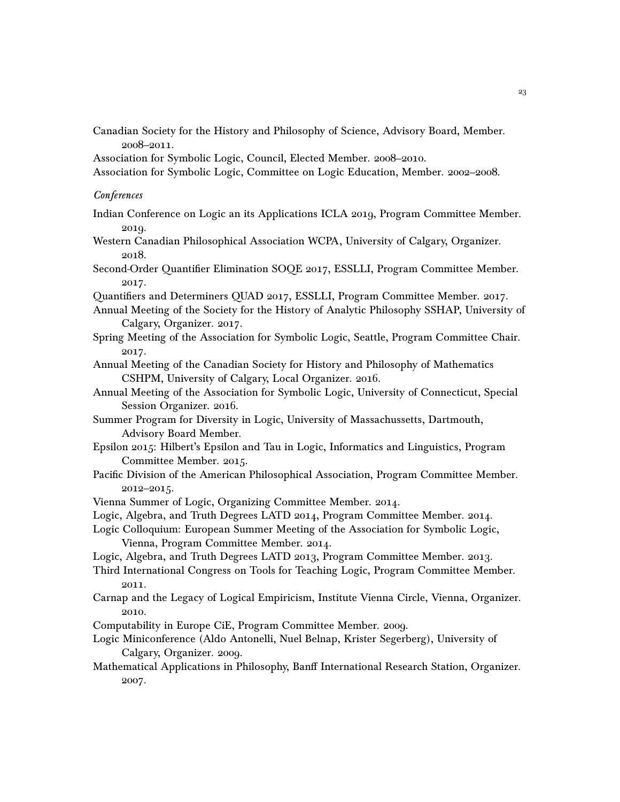Canadian Society for the History and Philosophy of Science, Advisory Board, Member. 2008–2011.

Association for Symbolic Logic, Council, Elected Member. 2008–2010.

Association for Symbolic Logic, Committee on Logic Education, Member. 2002–2008.

## **Conferences**

- Indian Conference on Logic an its Applications ICLA 2019, Program Committee Member. 2019.
- Western Canadian Philosophical Association WCPA, University of Calgary, Organizer. 2018.
- Second-Order Quantifier Elimination SOQE 2017, ESSLLI, Program Committee Member. 2017.
- Quantifiers and Determiners QUAD 2017, ESSLLI, Program Committee Member. 2017.
- Annual Meeting of the Society for the History of Analytic Philosophy SSHAP, University of Calgary, Organizer. 2017.
- Spring Meeting of the Association for Symbolic Logic, Seattle, Program Committee Chair. 2017.
- Annual Meeting of the Canadian Society for History and Philosophy of Mathematics CSHPM, University of Calgary, Local Organizer. 2016.
- Annual Meeting of the Association for Symbolic Logic, University of Connecticut, Special Session Organizer. 2016.
- Summer Program for Diversity in Logic, University of Massachussetts, Dartmouth, Advisory Board Member.
- Epsilon 2015: Hilbert's Epsilon and Tau in Logic, Informatics and Linguistics, Program Committee Member. 2015.
- Pacific Division of the American Philosophical Association, Program Committee Member. 2012–2015.
- Vienna Summer of Logic, Organizing Committee Member. 2014.
- Logic, Algebra, and Truth Degrees LATD 2014, Program Committee Member. 2014.
- Logic Colloquium: European Summer Meeting of the Association for Symbolic Logic, Vienna, Program Committee Member. 2014.
- Logic, Algebra, and Truth Degrees LATD 2013, Program Committee Member. 2013.
- Third International Congress on Tools for Teaching Logic, Program Committee Member. 2011.
- Carnap and the Legacy of Logical Empiricism, Institute Vienna Circle, Vienna, Organizer. 2010.
- Computability in Europe CiE, Program Committee Member. 2009.
- Logic Miniconference (Aldo Antonelli, Nuel Belnap, Krister Segerberg), University of Calgary, Organizer. 2009.
- Mathematical Applications in Philosophy, Banff International Research Station, Organizer. 2007.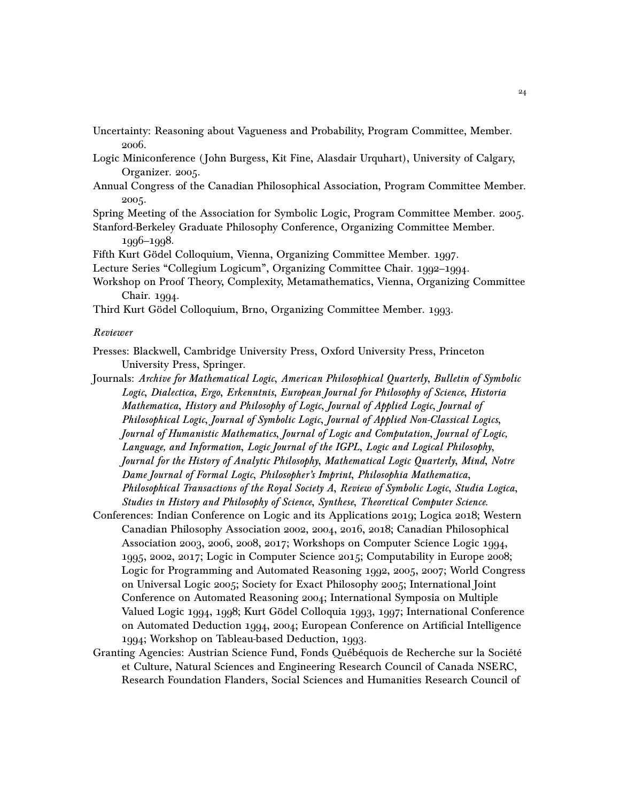- Uncertainty: Reasoning about Vagueness and Probability, Program Committee, Member. 2006.
- Logic Miniconference ( John Burgess, Kit Fine, Alasdair Urquhart), University of Calgary, Organizer. 2005.
- Annual Congress of the Canadian Philosophical Association, Program Committee Member. 2005.
- Spring Meeting of the Association for Symbolic Logic, Program Committee Member. 2005. Stanford-Berkeley Graduate Philosophy Conference, Organizing Committee Member.

1996–1998.

Fifth Kurt Gödel Colloquium, Vienna, Organizing Committee Member. 1997.

- Lecture Series "Collegium Logicum", Organizing Committee Chair. 1992–1994.
- Workshop on Proof Theory, Complexity, Metamathematics, Vienna, Organizing Committee Chair. 1994.

Third Kurt Gödel Colloquium, Brno, Organizing Committee Member. 1993.

#### Reviewer

- Presses: Blackwell, Cambridge University Press, Oxford University Press, Princeton University Press, Springer.
- Journals: Archive for Mathematical Logic, American Philosophical Quarterly, Bulletin of Symbolic Logic, Dialectica, Ergo, Erkenntnis, European Journal for Philosophy of Science, Historia Mathematica, History and Philosophy of Logic, Journal of Applied Logic, Journal of Philosophical Logic, Journal of Symbolic Logic, Journal of Applied Non-Classical Logics, Journal of Humanistic Mathematics, Journal of Logic and Computation, Journal of Logic, Language, and Information, Logic Journal of the IGPL, Logic and Logical Philosophy, Journal for the History of Analytic Philosophy, Mathematical Logic Quarterly, Mind, Notre Dame Journal of Formal Logic, Philosopher's Imprint, Philosophia Mathematica, Philosophical Transactions of the Royal Society A, Review of Symbolic Logic, Studia Logica, Studies in History and Philosophy of Science, Synthese, Theoretical Computer Science.
- Conferences: Indian Conference on Logic and its Applications 2019; Logica 2018; Western Canadian Philosophy Association 2002, 2004, 2016, 2018; Canadian Philosophical Association 2003, 2006, 2008, 2017; Workshops on Computer Science Logic 1994, 1995, 2002, 2017; Logic in Computer Science 2015; Computability in Europe 2008; Logic for Programming and Automated Reasoning 1992, 2005, 2007; World Congress on Universal Logic 2005; Society for Exact Philosophy 2005; International Joint Conference on Automated Reasoning 2004; International Symposia on Multiple Valued Logic 1994, 1998; Kurt Gödel Colloquia 1993, 1997; International Conference on Automated Deduction 1994, 2004; European Conference on Artificial Intelligence 1994; Workshop on Tableau-based Deduction, 1993.
- Granting Agencies: Austrian Science Fund, Fonds Québéquois de Recherche sur la Société et Culture, Natural Sciences and Engineering Research Council of Canada NSERC, Research Foundation Flanders, Social Sciences and Humanities Research Council of